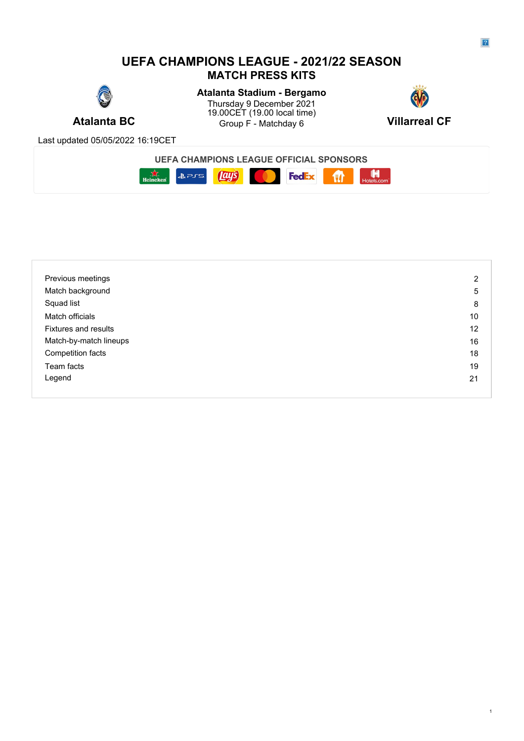# **UEFA CHAMPIONS LEAGUE - 2021/22 SEASON MATCH PRESS KITS**



**Atalanta BC** Group F - Matchday 6 **Villarreal CF Atalanta Stadium - Bergamo** Thursday 9 December 2021 **Thursday 9 December 2021** 19.00CET (19.00 local time)



Last updated 05/05/2022 16:19CET





| Previous meetings           | 2  |
|-----------------------------|----|
| Match background            | 5  |
| Squad list                  | 8  |
| Match officials             | 10 |
| <b>Fixtures and results</b> | 12 |
| Match-by-match lineups      | 16 |
| Competition facts           | 18 |
| Team facts                  | 19 |
| Legend                      | 21 |
|                             |    |

1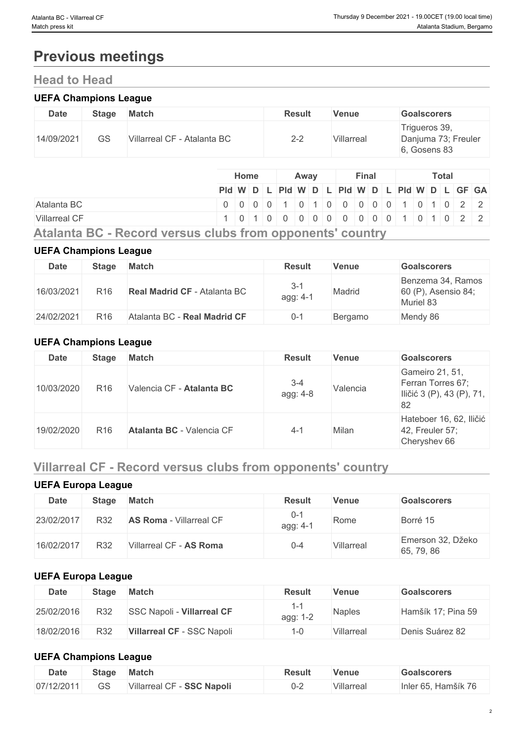# **Previous meetings**

# **Head to Head**

#### **UEFA Champions League**

| <b>Date</b> | <b>Stage</b> | <b>Match</b>                | <b>Result</b> | <b>Venue</b> | <b>Goalscorers</b>                                   |
|-------------|--------------|-----------------------------|---------------|--------------|------------------------------------------------------|
| 14/09/2021  | GS           | Villarreal CF - Atalanta BC | $2 - 2$       | Villarreal   | Trigueros 39,<br>Danjuma 73; Freuler<br>6, Gosens 83 |

|                                                                | <b>Home</b> |  |  |  | Away |  | Final |  | Total |  |  |  |  |  |                                               |
|----------------------------------------------------------------|-------------|--|--|--|------|--|-------|--|-------|--|--|--|--|--|-----------------------------------------------|
|                                                                |             |  |  |  |      |  |       |  |       |  |  |  |  |  | Pid W D L Pid W D L Pid W D L Pid W D L GF GA |
| Atalanta BC                                                    |             |  |  |  |      |  |       |  |       |  |  |  |  |  | 0 0 0 0 0 1 0 1 0 0 0 0 0 0 1 0 1 0 2 2       |
| <b>Villarreal CF</b>                                           |             |  |  |  |      |  |       |  |       |  |  |  |  |  | 1 0 1 0 0 0 0 0 0 0 0 0 0 0 1 0 1 0 2 2       |
| Atalanta BO - Bassad consus shika fuenza con control secuntur. |             |  |  |  |      |  |       |  |       |  |  |  |  |  |                                               |

**Atalanta BC - Record versus clubs from opponents' country**

#### **UEFA Champions League**

| Date       | <b>Stage</b>    | <b>Match</b>                        | <b>Result</b>     | <b>Venue</b> | <b>Goalscorers</b>                                    |
|------------|-----------------|-------------------------------------|-------------------|--------------|-------------------------------------------------------|
| 16/03/2021 | R <sub>16</sub> | <b>Real Madrid CF - Atalanta BC</b> | $3-7$<br>agg: 4-1 | Madrid       | Benzema 34, Ramos<br>60 (P), Asensio 84;<br>Muriel 83 |
| 24/02/2021 | R <sub>16</sub> | Atalanta BC - Real Madrid CF        | $0 - 1$           | Bergamo      | Mendy 86                                              |

### **UEFA Champions League**

| <b>Date</b> | <b>Stage</b>    | <b>Match</b>              | <b>Result</b>       | <b>Venue</b> | <b>Goalscorers</b>                                                      |
|-------------|-----------------|---------------------------|---------------------|--------------|-------------------------------------------------------------------------|
| 10/03/2020  | R <sub>16</sub> | Valencia CF - Atalanta BC | $3 - 4$<br>agg: 4-8 | Valencia     | Gameiro 21, 51,<br>Ferran Torres 67;<br>Iličić 3 (P), 43 (P), 71,<br>82 |
| 19/02/2020  | R <sub>16</sub> | Atalanta BC - Valencia CF | $4 - 1$             | Milan        | Hateboer 16, 62, Iličić<br>42, Freuler 57;<br>Cheryshev 66              |

# **Villarreal CF - Record versus clubs from opponents' country**

### **UEFA Europa League**

| <b>Date</b> | <b>Stage</b> | <b>Match</b>                   | <b>Result</b>       | Venue      | Goalscorers                     |
|-------------|--------------|--------------------------------|---------------------|------------|---------------------------------|
| 23/02/2017  | R32          | <b>AS Roma - Villarreal CF</b> | $0 - 1$<br>agg: 4-1 | Rome       | Borré 15                        |
| 16/02/2017  | R32          | Villarreal CF - AS Roma        | $0 - 4$             | Villarreal | Emerson 32, Džeko<br>65, 79, 86 |

#### **UEFA Europa League**

| <b>Date</b> | Stage | <b>Match</b>                      | <b>Result</b> | Venue         | <b>Goalscorers</b> |
|-------------|-------|-----------------------------------|---------------|---------------|--------------------|
| 25/02/2016  | R32   | <b>SSC Napoli - Villarreal CF</b> | agg:          | <b>Naples</b> | Hamšík 17; Pina 59 |
| 18/02/2016  | R32   | Villarreal CF - SSC Napoli        |               | Villarreal    | Denis Suárez 82    |

#### **UEFA Champions League**

| <b>Date</b> | <b>Stage</b> | <b>Match</b>                         | <b>Result</b> | Venue     | <b>Goalscorers</b>         |
|-------------|--------------|--------------------------------------|---------------|-----------|----------------------------|
| 07/12/2011  | $\cap$<br>50 | - SSC Napoli<br><b>Villarreal CF</b> | ∪−∠           | Villarrea | Hamšík 76<br>Inler $65, 1$ |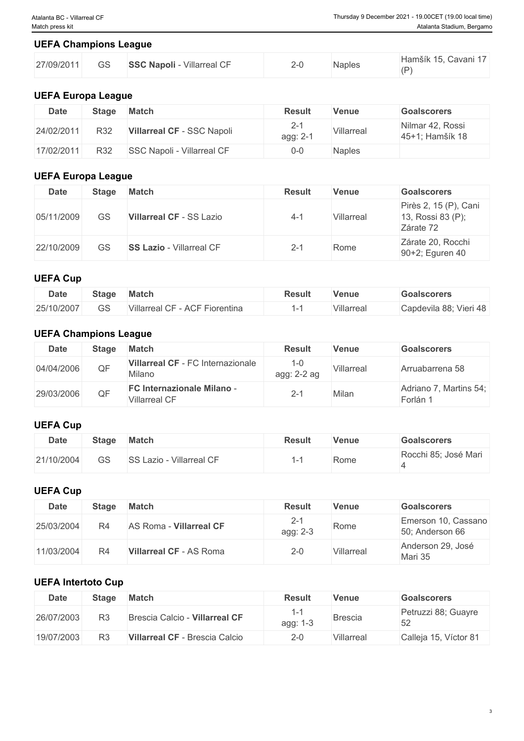### **UEFA Champions League**

| 27/09/2011 | $\sim$<br>92 | <b>SSC Napoli - Villarreal CF</b> | ᄼ<br>_ | Naples | Hamšík 15, Cavani 17<br>(D) |
|------------|--------------|-----------------------------------|--------|--------|-----------------------------|

# **UEFA Europa League**

| <b>Date</b> | <b>Stage</b> | <b>Match</b>               | <b>Result</b>       | <b>Venue</b>  | <b>Goalscorers</b>                  |
|-------------|--------------|----------------------------|---------------------|---------------|-------------------------------------|
| 24/02/2011  | R32          | Villarreal CF - SSC Napoli | $2 - 1$<br>agg: 2-1 | Villarreal    | Nilmar 42, Rossi<br>45+1; Hamšík 18 |
| 17/02/2011  | R32          | SSC Napoli - Villarreal CF | 0-0                 | <b>Naples</b> |                                     |

### **UEFA Europa League**

| <b>Date</b> | <b>Stage</b> | <b>Match</b>                    | <b>Result</b> | <b>Venue</b> | <b>Goalscorers</b>                                      |
|-------------|--------------|---------------------------------|---------------|--------------|---------------------------------------------------------|
| 05/11/2009  | GS           | <b>Villarreal CF - SS Lazio</b> | $4 - 1$       | Villarreal   | Pirès 2, 15 (P), Cani<br>13, Rossi 83 (P);<br>Zárate 72 |
| 22/10/2009  | GS           | <b>SS Lazio</b> - Villarreal CF | $2 - 1$       | Rome         | Zárate 20, Rocchi<br>90+2; Eguren 40                    |

# **UEFA Cup**

| <b>Date</b> | <b>Stage</b>  | <b>Match</b>                                                | <b>Result</b> | <b>Venue</b> | <b>Goalscorers</b>     |
|-------------|---------------|-------------------------------------------------------------|---------------|--------------|------------------------|
| 25/10/2007  | $\cap$<br>5 ت | F - ACF Fiorentina<br>$\sim$ $\sim$ $\sim$<br>Villarreal CF |               | Villarreal   | Capdevila 88; Vieri 48 |

# **UEFA Champions League**

| <b>Date</b> | <b>Stage</b> | <b>Match</b>                                              | <b>Result</b>          | <b>Venue</b> | <b>Goalscorers</b>                 |
|-------------|--------------|-----------------------------------------------------------|------------------------|--------------|------------------------------------|
| 04/04/2006  | QF           | Villarreal CF - FC Internazionale<br>Milano               | $1 - 0$<br>agg: 2-2 ag | Villarreal   | Arruabarrena 58                    |
| 29/03/2006  | QF           | <b>FC Internazionale Milano -</b><br><b>Villarreal CF</b> | $2 - 1$                | Milan        | Adriano 7, Martins 54;<br>Forlán 1 |

#### **UEFA Cup**

| <b>Date</b> | <b>Stage</b> | <b>Match</b>                       | <b>Result</b> | <b>Venue</b> | <b>Goalscorers</b>   |
|-------------|--------------|------------------------------------|---------------|--------------|----------------------|
| 21/10/2004  | GS           | <b>SS Lazio -</b><br>Villarreal CF |               | Rome         | Rocchi 85; José Mari |

# **UEFA Cup**

| <b>Date</b> | Stage | <b>Match</b>                   | <b>Result</b>       | Venue      | <b>Goalscorers</b>                     |
|-------------|-------|--------------------------------|---------------------|------------|----------------------------------------|
| 25/03/2004  | R4    | AS Roma - Villarreal CF        | $2 - 1$<br>agg: 2-3 | Rome       | Emerson 10, Cassano<br>50; Anderson 66 |
| 11/03/2004  | R4    | <b>Villarreal CF - AS Roma</b> | $2 - 0$             | Villarreal | Anderson 29, José<br>Mari 35           |

### **UEFA Intertoto Cup**

| <b>Date</b> | <b>Stage</b> | <b>Match</b>                   | <b>Result</b> | Venue      | <b>Goalscorers</b>        |
|-------------|--------------|--------------------------------|---------------|------------|---------------------------|
| 26/07/2003  | R3           | Brescia Calcio - Villarreal CF | agg: 1-3      | Brescia    | Petruzzi 88; Guayre<br>52 |
| 19/07/2003  | R3           | Villarreal CF - Brescia Calcio | $2 - 0$       | Villarreal | Calleja 15, Víctor 81     |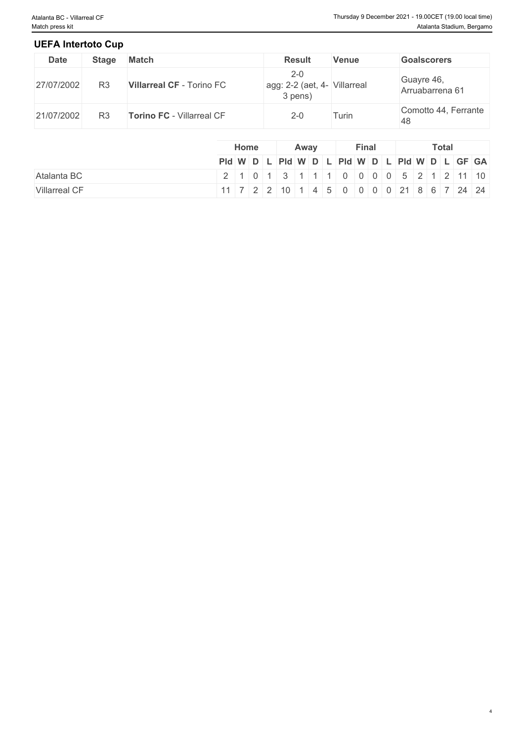4

### **UEFA Intertoto Cup**

| <b>Date</b> | <b>Stage</b>   | <b>Match</b>                     | <b>Result</b>                                      | Venue | <b>Goalscorers</b>            |
|-------------|----------------|----------------------------------|----------------------------------------------------|-------|-------------------------------|
| 27/07/2002  | R3             | <b>Villarreal CF - Torino FC</b> | $2 - 0$<br>agg: 2-2 (aet, 4- Villarreal<br>3 pens) |       | Guayre 46,<br>Arruabarrena 61 |
| 21/07/2002  | R <sub>3</sub> | <b>Torino FC - Villarreal CF</b> | $2 - 0$                                            | Turin | Comotto 44, Ferrante<br>.48   |

|                      | Home | Away                                                                                                                                 | <b>Final</b> | <b>Total</b> |  |  |  |
|----------------------|------|--------------------------------------------------------------------------------------------------------------------------------------|--------------|--------------|--|--|--|
|                      |      | Pid W D L Pid W D L Pid W D L Pid W D L GF GA                                                                                        |              |              |  |  |  |
| Atalanta BC          |      | 2 1 0 1 3 1 1 1 0 0 0 0 0 5 2 1 2 11 10                                                                                              |              |              |  |  |  |
| <b>Villarreal CF</b> |      | $11 \mid 7 \mid 2 \mid 2 \mid 10 \mid 1 \mid 4 \mid 5 \mid 0 \mid 0 \mid 0 \mid 0 \mid 21 \mid 8 \mid 6 \mid 7 \mid 24 \mid 24 \mid$ |              |              |  |  |  |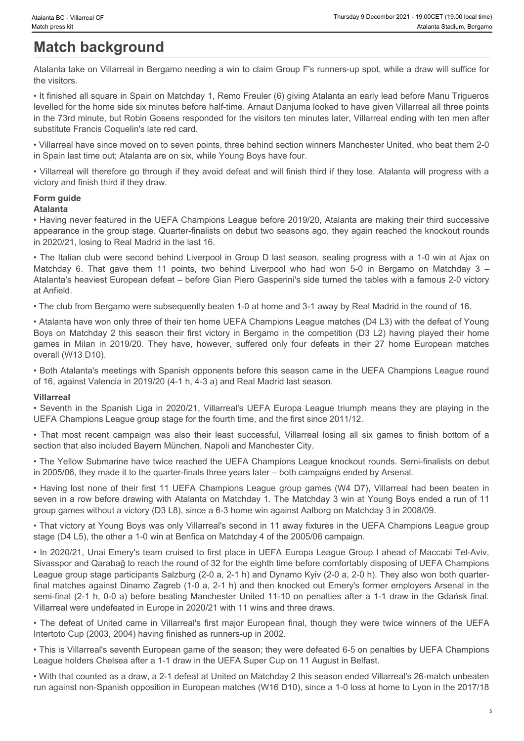# **Match background**

Atalanta take on Villarreal in Bergamo needing a win to claim Group F's runners-up spot, while a draw will suffice for the visitors.

• It finished all square in Spain on Matchday 1, Remo Freuler (6) giving Atalanta an early lead before Manu Trigueros levelled for the home side six minutes before half-time. Arnaut Danjuma looked to have given Villarreal all three points in the 73rd minute, but Robin Gosens responded for the visitors ten minutes later, Villarreal ending with ten men after substitute Francis Coquelin's late red card.

• Villarreal have since moved on to seven points, three behind section winners Manchester United, who beat them 2-0 in Spain last time out; Atalanta are on six, while Young Boys have four.

• Villarreal will therefore go through if they avoid defeat and will finish third if they lose. Atalanta will progress with a victory and finish third if they draw.

# **Form guide**

**Atalanta** • Having never featured in the UEFA Champions League before 2019/20, Atalanta are making their third successive appearance in the group stage. Quarter-finalists on debut two seasons ago, they again reached the knockout rounds in 2020/21, losing to Real Madrid in the last 16.

• The Italian club were second behind Liverpool in Group D last season, sealing progress with a 1-0 win at Ajax on Waters 50. Villared of Matches Matches Matches Matches Matches Matches Matches Matches Matches Matches Matches Matches Matches Matches Matches Matches Matches Matches Matches Matches Matches Matches Matches Matches Matches Atalanta's heaviest European defeat – before Gian Piero Gasperini's side turned the tables with a famous 2-0 victory at Anfield. Thursty Decreme 132: Maximum Americans (Thursty of Exerceme 232: 15 Maximum Americans in Milan in 2019/20. Maximum Americans in Milan Internal in Bergamo needing a win to claim Group P's numers-up spot, while a draw will s • That most recent campaign most recent campaign was also the most recent campaign was a considerable campaign was a<br>
Adapted at on Milensol in Bergamo needing a win to claim Group F's runners-up spot, while a disor sul su

• The club from Bergamo were subsequently beaten 1-0 at home and 3-1 away by Real Madrid in the round of 16.

• Atalanta have won only three of their ten home UEFA Champions League matches (D4 L3) with the defeat of Young Boys on Matchday 2 this season their first victory in Bergamo in the competition (D3 L2) having played their home overall (W13 D10).

• Both Atalanta's meetings with Spanish opponents before this season came in the UEFA Champions League round of 16, against Valencia in 2019/20 (4-1 h, 4-3 a) and Real Madrid last season.

#### **Villarreal**

• Seventh in the Spanish Liga in 2020/21, Villarreal's UEFA Europa League triumph means they are playing in the UEFA Champions League group stage for the fourth time, and the first since 2011/12.

section that also included Bayern München, Napoli and Manchester City.

• The Yellow Submarine have twice reached the UEFA Champions League knockout rounds. Semi-finalists on debut in 2005/06, they made it to the quarter-finals three years later – both campaigns ended by Arsenal.

• Having lost none of their first 11 UEFA Champions League group games (W4 D7), Villarreal had been beaten in seven in a row before drawing with Atalanta on Matchday 1. The Matchday 3 win at Young Boys ended a run of 11 group games without a victory (D3 L8), since a 6-3 home win against Aalborg on Matchday 3 in 2008/09.

• That victory at Young Boys was only Villarreal's second in 11 away fixtures in the UEFA Champions League group stage (D4 L5), the other a 1-0 win at Benfica on Matchday 4 of the 2005/06 campaign.

• In 2020/21, Unai Emery's team cruised to first place in UEFA Europa League Group I ahead of Maccabi Tel-Aviv, Sivasspor and Qarabağ to reach the round of 32 for the eighth time before comfortably disposing of UEFA Champions League group stage participants Salzburg (2-0 a, 2-1 h) and Dynamo Kyiv (2-0 a, 2-0 h). They also won both quarterfinal matches against Dinamo Zagreb (1-0 a, 2-1 h) and then knocked out Emery's former employers Arsenal in the semi-final (2-1 h, 0-0 a) before beating Manchester United 11-10 on penalties after a 1-1 draw in the Gdańsk final. Villarreal were undefeated in Europe in 2020/21 with 11 wins and three draws.

• The defeat of United came in Villarreal's first major European final, though they were twice winners of the UEFA Intertoto Cup (2003, 2004) having finished as runners-up in 2002.

• This is Villarreal's seventh European game of the season; they were defeated 6-5 on penalties by UEFA Champions League holders Chelsea after a 1-1 draw in the UEFA Super Cup on 11 August in Belfast.

• With that counted as a draw, a 2-1 defeat at United on Matchday 2 this season ended Villarreal's 26-match unbeaten run against non-Spanish opposition in European matches (W16 D10), since a 1-0 loss at home to Lyon in the 2017/18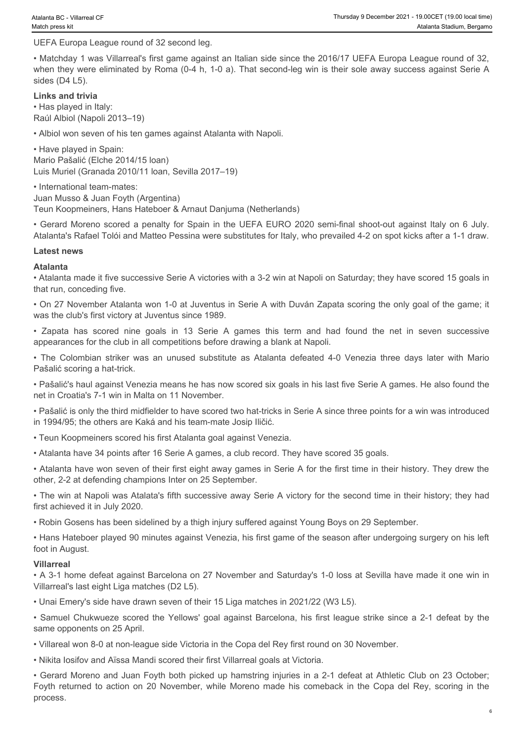UEFA Europa League round of 32 second leg.

• Matchday 1 was Villarreal's first game against an Italian side since the 2016/17 UEFA Europa League round of 32, when they were eliminated by Roma (0-4 h, 1-0 a). That second-leg win is their sole away success against Serie A sides (D4 L5). • Trunder a to Chinese a Construction of 32 second log.<br>• Zapata has score transformation of 32 second log.<br>• Malchday 1 was Villarely first signing and has scheme that score the 2016/17 UEFA Europa League round of 32.<br>• M • The Colombian striker was an unused substitute as Atalanta defeated 4-0 Venezia three assessments and the Pelasticity of the National striker Europa League Turk of the Colombian striker was an unused substitute as Atala

**Links and trivia** • Has played in Italy: Raúl Albiol (Napoli 2013–19)

• Albiol won seven of his ten games against Atalanta with Napoli.

• Have played in Spain: Mario Pašalić (Elche 2014/15 loan) Luis Muriel (Granada 2010/11 loan, Sevilla 2017–19)

• International team-mates: Juan Musso & Juan Foyth (Argentina) Teun Koopmeiners, Hans Hateboer & Arnaut Danjuma (Netherlands)

• Gerard Moreno scored a penalty for Spain in the UEFA EURO 2020 semi-final shoot-out against Italy on 6 July. Atalanta's Rafael Tolói and Matteo Pessina were substitutes for Italy, who prevailed 4-2 on spot kicks after a 1-1 draw.

#### **Latest news**

#### **Atalanta**

• Atalanta made it five successive Serie A victories with a 3-2 win at Napoli on Saturday; they have scored 15 goals in that run, conceding five.

• On 27 November Atalanta won 1-0 at Juventus in Serie A with Duván Zapata scoring the only goal of the game; it was the club's first victory at Juventus since 1989.

appearances for the club in all competitions before drawing a blank at Napoli.

Pašalić scoring a hat-trick.

• Pašalić's haul against Venezia means he has now scored six goals in his last five Serie A games. He also found the net in Croatia's 7-1 win in Malta on 11 November.

• Pašalić is only the third midfielder to have scored two hat-tricks in Serie A since three points for a win was introduced in 1994/95; the others are Kaká and his team-mate Josip Iličić.

• Teun Koopmeiners scored his first Atalanta goal against Venezia.

• Atalanta have 34 points after 16 Serie A games, a club record. They have scored 35 goals.

• Atalanta have won seven of their first eight away games in Serie A for the first time in their history. They drew the other, 2-2 at defending champions Inter on 25 September.

• The win at Napoli was Atalata's fifth successive away Serie A victory for the second time in their history; they had first achieved it in July 2020.

• Robin Gosens has been sidelined by a thigh injury suffered against Young Boys on 29 September.

• Hans Hateboer played 90 minutes against Venezia, his first game of the season after undergoing surgery on his left foot in August.

#### **Villarreal**

• A 3-1 home defeat against Barcelona on 27 November and Saturday's 1-0 loss at Sevilla have made it one win in Villarreal's last eight Liga matches (D2 L5).

• Unai Emery's side have drawn seven of their 15 Liga matches in 2021/22 (W3 L5).

same opponents on 25 April.

• Villareal won 8-0 at non-league side Victoria in the Copa del Rey first round on 30 November.

• Nikita Iosifov and Aïssa Mandi scored their first Villarreal goals at Victoria.

ulus hutumo. Summar operation and the Yellow The Yellow Chukwieze scores a paint first league studies of a since the Yellow Tom Koopments a lay on 6 July 2004 members of a paint with the Chemical against Barcelona against • Gerard Moreno and Juan Foyth both picked up hamstring injuries in a 2-1 defeat at Athletic Club on 23 October; Attainmits and the fower model is the action on 20 November, while Morel is in a 2-th detection on 20 November, concepting the comes on 20 November, concepting the Copa del Rey in the Copa del Rey in the Copa del Rey in th process.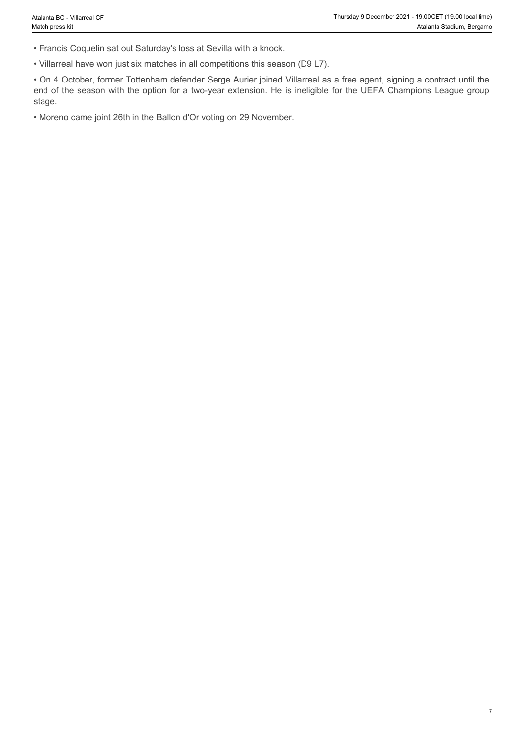7

- Francis Coquelin sat out Saturday's loss at Sevilla with a knock.
- Villarreal have won just six matches in all competitions this season (D9 L7).

• On 4 October, former Tottenham defender Serge Aurier joined Villarreal as a free agent, signing a contract until the end of the season with the option for a two-year extension. He is ineligible for the UEFA Champions League group stage.

• Moreno came joint 26th in the Ballon d'Or voting on 29 November.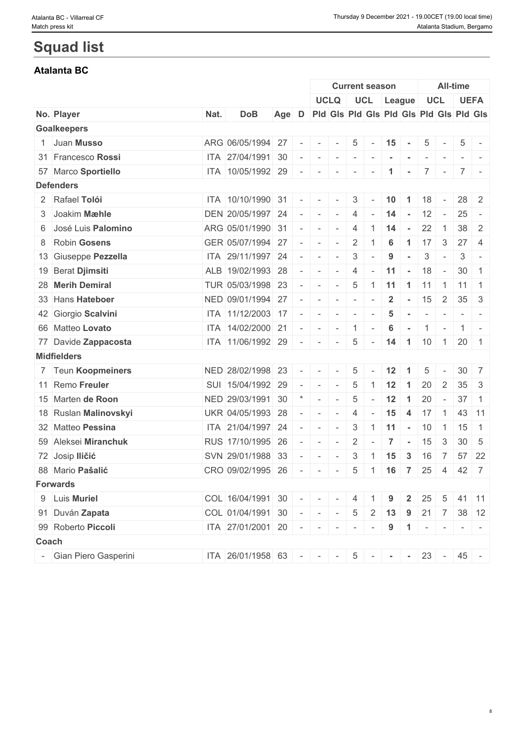# **Squad list**

# **Atalanta BC**

|       |                        |      |                           |       |                          |                                                                                                                                                                                                                                                                                                                                                                                                                                                                   |                                         |                          | <b>Current season</b>        |                      |                      |                          |                          | <b>All-time</b> |                                                                                                              |
|-------|------------------------|------|---------------------------|-------|--------------------------|-------------------------------------------------------------------------------------------------------------------------------------------------------------------------------------------------------------------------------------------------------------------------------------------------------------------------------------------------------------------------------------------------------------------------------------------------------------------|-----------------------------------------|--------------------------|------------------------------|----------------------|----------------------|--------------------------|--------------------------|-----------------|--------------------------------------------------------------------------------------------------------------|
|       |                        |      |                           |       |                          |                                                                                                                                                                                                                                                                                                                                                                                                                                                                   | <b>UCLQ</b>                             |                          |                              | UCL League           |                      |                          | <b>UCL</b>               |                 | <b>UEFA</b>                                                                                                  |
|       | No. Player             | Nat. | <b>DoB</b>                | Age D |                          |                                                                                                                                                                                                                                                                                                                                                                                                                                                                   | Pid Gis Pid Gis Pid Gis Pid Gis Pid Gis |                          |                              |                      |                      |                          |                          |                 |                                                                                                              |
|       | <b>Goalkeepers</b>     |      |                           |       |                          |                                                                                                                                                                                                                                                                                                                                                                                                                                                                   |                                         |                          |                              |                      |                      |                          |                          |                 |                                                                                                              |
|       | 1 Juan Musso           |      | ARG 06/05/1994 27         |       | $\overline{\phantom{a}}$ | $\sim$                                                                                                                                                                                                                                                                                                                                                                                                                                                            |                                         | 5                        |                              | 15                   | $\sim$               | 5                        |                          | 5               |                                                                                                              |
|       | 31 Francesco Rossi     |      | ITA 27/04/1991 30         |       |                          | $\sim$                                                                                                                                                                                                                                                                                                                                                                                                                                                            | $\sim$                                  | $\sim$                   | $\sim$                       |                      | $\sim$               | $\sim$                   | $\overline{\phantom{a}}$ |                 | $\frac{1}{2} \left( \frac{1}{2} \right) \left( \frac{1}{2} \right) = \frac{1}{2} \left( \frac{1}{2} \right)$ |
|       | 57 Marco Sportiello    |      | ITA 10/05/1992 29         |       | $\sim$                   | $\sim$                                                                                                                                                                                                                                                                                                                                                                                                                                                            | $\sim$                                  | $\sim$                   | $\sim$                       | $\blacktriangleleft$ | $\sim$               |                          | $7 -$                    |                 | $7$ -                                                                                                        |
|       | <b>Defenders</b>       |      |                           |       |                          |                                                                                                                                                                                                                                                                                                                                                                                                                                                                   |                                         |                          |                              |                      |                      |                          |                          |                 |                                                                                                              |
|       | 2 Rafael Tolói         |      | ITA 10/10/1990 31         |       |                          | $\sim$                                                                                                                                                                                                                                                                                                                                                                                                                                                            | $\sim$                                  | 3                        | $\sim$                       | 10                   | $\overline{1}$       | 18                       |                          |                 | $28 \mid 2$                                                                                                  |
|       | 3 Joakim Mæhle         |      | DEN 20/05/1997 24         |       |                          | $\sim$                                                                                                                                                                                                                                                                                                                                                                                                                                                            | $\sim$                                  | $\overline{4}$           |                              | 14                   | $\sim$               | 12                       | $\sim$                   | 25              |                                                                                                              |
|       | 6 José Luis Palomino   |      | ARG 05/01/1990 31         |       |                          | $\sim$                                                                                                                                                                                                                                                                                                                                                                                                                                                            | $\sim$                                  | 4                        |                              | 14                   | $\sim$               | 22                       | $\overline{1}$           |                 | $38 \mid 2$                                                                                                  |
|       | 8 Robin Gosens         |      | GER 05/07/1994 27         |       |                          | $\overline{\phantom{a}}$                                                                                                                                                                                                                                                                                                                                                                                                                                          | $\sim$                                  | $\overline{2}$           |                              | 6                    | $\overline{1}$       | $17 \quad 3$             |                          | 27              | -4                                                                                                           |
|       | 13 Giuseppe Pezzella   |      | ITA 29/11/1997 24         |       |                          | $\sim$                                                                                                                                                                                                                                                                                                                                                                                                                                                            | $\sim$                                  | 3                        |                              | 9                    |                      | 3                        | $\overline{\phantom{a}}$ | 3               | $\overline{\phantom{a}}$                                                                                     |
|       | 19 Berat Djimsiti      |      | ALB 19/02/1993 28         |       |                          | $\overline{\phantom{a}}$                                                                                                                                                                                                                                                                                                                                                                                                                                          | $\sim$                                  | $\overline{4}$           |                              | 11                   | $\sim$               | 18                       | $\sim$                   | 30 <sup>1</sup> | $\overline{1}$                                                                                               |
|       | 28 Merih Demiral       |      | TUR 05/03/1998 23         |       |                          | $\sim$                                                                                                                                                                                                                                                                                                                                                                                                                                                            | $\sim$                                  | 5                        |                              | $1$ 11 1 11          |                      |                          |                          | 1111            |                                                                                                              |
|       | 33 Hans Hateboer       |      | NED 09/01/1994 27         |       |                          | $\sim$                                                                                                                                                                                                                                                                                                                                                                                                                                                            | $\sim$                                  | $\sim$                   | $\sim$                       | $\overline{2}$       | $\sim$ $-$           | 15                       | $\overline{2}$           |                 | $35 \quad 3$                                                                                                 |
|       | 42 Giorgio Scalvini    |      | ITA 11/12/2003 17         |       | $\overline{\phantom{a}}$ | $\overline{\phantom{a}}$                                                                                                                                                                                                                                                                                                                                                                                                                                          | $\sim$                                  | $\overline{\phantom{a}}$ |                              | 5                    | $\sim$               | $\overline{\phantom{a}}$ | $\overline{\phantom{a}}$ |                 | $\frac{1}{2} \left( \frac{1}{2} \right) \left( \frac{1}{2} \right) = \frac{1}{2} \left( \frac{1}{2} \right)$ |
|       | 66 Matteo Lovato       |      | ITA 14/02/2000 21         |       |                          | $\sim$                                                                                                                                                                                                                                                                                                                                                                                                                                                            | $\sim$                                  | $\vert 1 \vert$          | $\sim$                       | 6                    | $\sim$ $-$           | $1$ -                    |                          |                 | $1$ -                                                                                                        |
|       | 77 Davide Zappacosta   |      | ITA 11/06/1992 29         |       |                          | $\overline{\phantom{a}}$                                                                                                                                                                                                                                                                                                                                                                                                                                          | $\sim$                                  | 5                        | $\sim$                       | 14                   |                      |                          |                          | 110112011       |                                                                                                              |
|       | <b>Midfielders</b>     |      |                           |       |                          |                                                                                                                                                                                                                                                                                                                                                                                                                                                                   |                                         |                          |                              |                      |                      |                          |                          |                 |                                                                                                              |
|       | 7 Teun Koopmeiners     |      | NED 28/02/1998 23         |       | $\sim$                   | $\sim$                                                                                                                                                                                                                                                                                                                                                                                                                                                            | $\sim$                                  | 5                        |                              | 12                   | $\blacktriangleleft$ | 5                        |                          | 30 <sup>1</sup> | 7                                                                                                            |
|       | 11 Remo Freuler        |      | SUI 15/04/1992 29         |       |                          | $\sim$                                                                                                                                                                                                                                                                                                                                                                                                                                                            | $\sim$                                  | 5                        |                              | 12                   | $\overline{1}$       | 20                       | $\overline{2}$           |                 | $35 \quad 3$                                                                                                 |
|       | 15 Marten de Roon      |      | NED 29/03/1991 30         |       |                          | $\sim$                                                                                                                                                                                                                                                                                                                                                                                                                                                            | $\sim$                                  | 5                        | $\sim$                       | 12                   | $\overline{1}$       | 20                       | $\overline{\phantom{a}}$ | 37 <sup>2</sup> | $\overline{1}$                                                                                               |
|       | 18 Ruslan Malinovskyi  |      | UKR 04/05/1993 28         |       | $\overline{\phantom{a}}$ | $\sim$                                                                                                                                                                                                                                                                                                                                                                                                                                                            | $\sim$                                  | 4                        | $\sim$                       | 15                   | $\overline{4}$       | 17                       | $\overline{1}$           |                 | 43 11                                                                                                        |
|       | 32 Matteo Pessina      |      | ITA 21/04/1997 24         |       |                          | $\sim$                                                                                                                                                                                                                                                                                                                                                                                                                                                            | $\sim$                                  | 3                        |                              | $1 \quad 11$         | $\sim$               | 10                       | $\overline{1}$           | 15              | $\overline{1}$                                                                                               |
|       | 59 Aleksei Miranchuk   |      | RUS 17/10/1995 26         |       |                          | $\sim$                                                                                                                                                                                                                                                                                                                                                                                                                                                            | $\sim$                                  | 2                        |                              | $\overline{7}$       | $\sim$               | 15                       | 3                        |                 | $30 \mid 5$                                                                                                  |
|       | 72 Josip Iličić        |      | SVN 29/01/1988 33         |       |                          | $\overline{\phantom{a}}$                                                                                                                                                                                                                                                                                                                                                                                                                                          | $\overline{\phantom{a}}$                | 3                        |                              | 15                   | 3                    | 16                       | -7                       | 57              | 22                                                                                                           |
|       | 88 Mario Pašalić       |      | CRO 09/02/1995 26         |       |                          | $\sim$                                                                                                                                                                                                                                                                                                                                                                                                                                                            | $\sim$                                  | 5                        | $1 \quad 16 \quad 7$         |                      |                      | 25                       | $\vert$ 4                |                 | 42 7                                                                                                         |
|       | <b>Forwards</b>        |      |                           |       |                          |                                                                                                                                                                                                                                                                                                                                                                                                                                                                   |                                         |                          |                              |                      |                      |                          |                          |                 |                                                                                                              |
|       | 9 Luis Muriel          |      | COL 16/04/1991 30         |       |                          | $\begin{array}{c c c c c c} \hline \multicolumn{3}{c }{\multicolumn{3}{c }{\multicolumn{3}{c }{\multicolumn{3}{c}}}} & \multicolumn{3}{c }{\multicolumn{3}{c }{\multicolumn{3}{c}}}} & \multicolumn{3}{c }{\multicolumn{3}{c }{\multicolumn{3}{c}}}} & \multicolumn{3}{c }{\multicolumn{3}{c }{\multicolumn{3}{c }{\multicolumn{3}{c}}}} & \multicolumn{3}{c }{\multicolumn{3}{c }{\multicolumn{3}{c }{\multicolumn{3}{c}}}} & \multicolumn{3}{c }{\multicolumn{$ | $\sim$ $-$                              | 4                        |                              | 9                    | $\mathbf{2}$         | 25                       | -5                       |                 | 41 11                                                                                                        |
|       | 91 Duván Zapata        |      | COL 01/04/1991 30         |       |                          |                                                                                                                                                                                                                                                                                                                                                                                                                                                                   | $-1 - 1 - 1 - 1$                        |                          | $5 \quad 2 \quad 13 \quad 9$ |                      |                      | $21 \quad 7$             |                          |                 | 38 12                                                                                                        |
|       | 99 Roberto Piccoli     |      | ITA 27/01/2001 20         |       |                          |                                                                                                                                                                                                                                                                                                                                                                                                                                                                   | $      -$                               |                          |                              |                      | $9 \mid 1$           | $\sim$ 10 $\sim$         |                          | $1 - 1 - 1$     |                                                                                                              |
| Coach |                        |      |                           |       |                          |                                                                                                                                                                                                                                                                                                                                                                                                                                                                   |                                         |                          |                              |                      |                      |                          |                          |                 |                                                                                                              |
|       | - Gian Piero Gasperini |      | $ITA$ 26/01/1958 63 - - - |       |                          |                                                                                                                                                                                                                                                                                                                                                                                                                                                                   |                                         |                          | $5$ - - - 23 -               |                      |                      |                          |                          |                 | $45 -$                                                                                                       |
|       |                        |      |                           |       |                          |                                                                                                                                                                                                                                                                                                                                                                                                                                                                   |                                         |                          |                              |                      |                      |                          |                          |                 |                                                                                                              |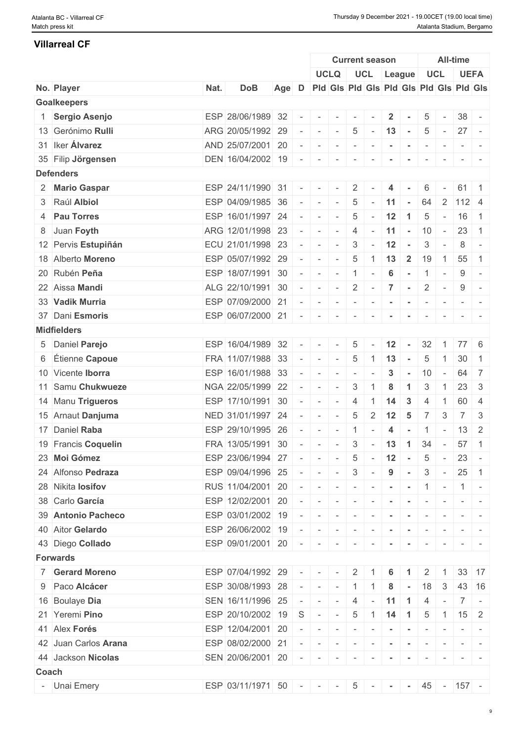#### **Villarreal CF**

|       |                      |      |                         |       |                          |                                                        |                             |                          | <b>Current season</b>                   |                |                                                                                                                                                                                                        | <b>All-time</b>          |                          |                                                                                                                                                                                                                                                                                                                                                                                                                                                                                       |                                                                  |  |
|-------|----------------------|------|-------------------------|-------|--------------------------|--------------------------------------------------------|-----------------------------|--------------------------|-----------------------------------------|----------------|--------------------------------------------------------------------------------------------------------------------------------------------------------------------------------------------------------|--------------------------|--------------------------|---------------------------------------------------------------------------------------------------------------------------------------------------------------------------------------------------------------------------------------------------------------------------------------------------------------------------------------------------------------------------------------------------------------------------------------------------------------------------------------|------------------------------------------------------------------|--|
|       |                      |      |                         |       |                          |                                                        | <b>UCLQ</b>                 |                          | UCL League                              |                |                                                                                                                                                                                                        | <b>UCL</b>               |                          |                                                                                                                                                                                                                                                                                                                                                                                                                                                                                       | <b>UEFA</b>                                                      |  |
|       | No. Player           | Nat. | <b>DoB</b>              | Age D |                          |                                                        |                             |                          | Pid Gis Pid Gis Pid Gis Pid Gis Pid Gis |                |                                                                                                                                                                                                        |                          |                          |                                                                                                                                                                                                                                                                                                                                                                                                                                                                                       |                                                                  |  |
|       | <b>Goalkeepers</b>   |      |                         |       |                          |                                                        |                             |                          |                                         |                |                                                                                                                                                                                                        |                          |                          |                                                                                                                                                                                                                                                                                                                                                                                                                                                                                       |                                                                  |  |
|       | 1 Sergio Asenjo      |      | ESP 28/06/1989 32       |       |                          | $\overline{\phantom{a}}$                               |                             |                          |                                         | $\overline{2}$ |                                                                                                                                                                                                        | 5                        | $\sim$                   | 38                                                                                                                                                                                                                                                                                                                                                                                                                                                                                    |                                                                  |  |
|       | 13 Gerónimo Rulli    |      | ARG 20/05/1992 29       |       |                          | $\sim$                                                 | $\sim$                      | $5\phantom{.0}$          | $-13 -$                                 |                |                                                                                                                                                                                                        | 5                        | $\sim 10^{-10}$          | $27 -$                                                                                                                                                                                                                                                                                                                                                                                                                                                                                |                                                                  |  |
|       | 31 Iker Álvarez      |      | AND 25/07/2001 20       |       |                          |                                                        | $\sim$                      | $\overline{\phantom{a}}$ |                                         |                |                                                                                                                                                                                                        | $\overline{\phantom{a}}$ | $\overline{\phantom{a}}$ |                                                                                                                                                                                                                                                                                                                                                                                                                                                                                       |                                                                  |  |
|       | 35 Filip Jörgensen   |      | DEN 16/04/2002 19       |       |                          | $\overline{\phantom{a}}$                               |                             | $\overline{\phantom{a}}$ |                                         |                |                                                                                                                                                                                                        |                          |                          |                                                                                                                                                                                                                                                                                                                                                                                                                                                                                       |                                                                  |  |
|       | <b>Defenders</b>     |      |                         |       |                          |                                                        |                             |                          |                                         |                |                                                                                                                                                                                                        |                          |                          |                                                                                                                                                                                                                                                                                                                                                                                                                                                                                       |                                                                  |  |
|       | 2 Mario Gaspar       |      | ESP 24/11/1990 31       |       | $\sim$                   | $\mathbf{r} = \mathbf{r}$                              | $\sim$                      | $\overline{2}$           |                                         | $\overline{4}$ |                                                                                                                                                                                                        | 6                        | $\sim$                   | $61$ 1                                                                                                                                                                                                                                                                                                                                                                                                                                                                                |                                                                  |  |
|       | 3 Raúl Albiol        |      | ESP 04/09/1985 36       |       |                          | $\sim$                                                 | $\sim$                      | 5                        |                                         | 11             | $\sim$                                                                                                                                                                                                 | 64                       |                          | $2 \mid 112 \mid 4$                                                                                                                                                                                                                                                                                                                                                                                                                                                                   |                                                                  |  |
|       | 4 Pau Torres         |      | ESP 16/01/1997 24       |       | $\sim$                   | $\sim$                                                 | $\sim$                      | 5                        | $\sim$                                  | 12             | $\mathbf{1}$                                                                                                                                                                                           | 5                        | $\sim$                   | 16                                                                                                                                                                                                                                                                                                                                                                                                                                                                                    | $\overline{1}$                                                   |  |
|       | 8 Juan Foyth         |      | ARG 12/01/1998 23       |       |                          | $\sim$                                                 | $\sim$                      | 4                        | $\sim$                                  | 11             | $\sim$                                                                                                                                                                                                 | 10                       | $\sim$                   | 23                                                                                                                                                                                                                                                                                                                                                                                                                                                                                    | $\overline{1}$                                                   |  |
|       | 12 Pervis Estupiñán  |      | ECU 21/01/1998 23       |       | $\equiv$                 | $\sim$                                                 | $\sim$                      | 3                        | $\sim$                                  | 12             | $\sim$                                                                                                                                                                                                 | 3                        | $\overline{\phantom{a}}$ | 8                                                                                                                                                                                                                                                                                                                                                                                                                                                                                     | $\sim$                                                           |  |
|       | 18 Alberto Moreno    |      | ESP 05/07/1992 29       |       | $\sim$                   | $\sim$                                                 | $\sim$                      | 5                        | $\overline{1}$                          | 13             | $\overline{2}$                                                                                                                                                                                         | 19                       | $\overline{1}$           | 55                                                                                                                                                                                                                                                                                                                                                                                                                                                                                    | $\overline{1}$                                                   |  |
|       | 20 Rubén Peña        |      | ESP 18/07/1991 30       |       | $\overline{\phantom{a}}$ | $\sim$                                                 | $\sim$                      | $\vert 1 \vert$          | $\sim$                                  | 6              | $\sim$                                                                                                                                                                                                 | 1                        | $\sim$                   | 9                                                                                                                                                                                                                                                                                                                                                                                                                                                                                     | $\sim$                                                           |  |
|       | 22 Aissa Mandi       |      | ALG 22/10/1991 30       |       |                          | $\sim$                                                 | $\sim$                      | $\overline{2}$           | $\sim$                                  | $\overline{7}$ | $\sim$                                                                                                                                                                                                 | $\overline{2}$           | $\sim$                   | 9                                                                                                                                                                                                                                                                                                                                                                                                                                                                                     | $\sim$                                                           |  |
|       | 33 Vadik Murria      |      | ESP 07/09/2000 21       |       |                          | $\sim$                                                 | $\sim$                      | $\sim$                   |                                         |                | $\sim$                                                                                                                                                                                                 |                          |                          |                                                                                                                                                                                                                                                                                                                                                                                                                                                                                       |                                                                  |  |
|       | 37 Dani Esmoris      |      | ESP 06/07/2000 21       |       | $\sim$                   | $\sim$                                                 | $\sim$                      | $\sim$                   | $\sim$                                  | $\sim$         | $\sim$                                                                                                                                                                                                 | $\sim$                   | $\sim$                   | $ -$                                                                                                                                                                                                                                                                                                                                                                                                                                                                                  |                                                                  |  |
|       | <b>Midfielders</b>   |      |                         |       |                          |                                                        |                             |                          |                                         |                |                                                                                                                                                                                                        |                          |                          |                                                                                                                                                                                                                                                                                                                                                                                                                                                                                       |                                                                  |  |
|       | 5 Daniel Parejo      |      | ESP 16/04/1989 32       |       |                          |                                                        |                             | 5                        |                                         | 12             | $\sim$                                                                                                                                                                                                 | 32                       |                          | 77                                                                                                                                                                                                                                                                                                                                                                                                                                                                                    | - 6                                                              |  |
|       | 6 Étienne Capoue     |      | FRA 11/07/1988 33       |       | $\sim$                   | $\sim$                                                 | $\sim$                      | 5                        | -1                                      | 13             | $\sim$                                                                                                                                                                                                 | 5                        | $\overline{1}$           | 30                                                                                                                                                                                                                                                                                                                                                                                                                                                                                    | $\overline{1}$                                                   |  |
|       | 10 Vicente Iborra    |      | ESP 16/01/1988 33       |       |                          |                                                        |                             |                          |                                         | $\mathbf{3}$   |                                                                                                                                                                                                        | 10                       | $\sim$                   | 64                                                                                                                                                                                                                                                                                                                                                                                                                                                                                    | 7                                                                |  |
|       | 11 Samu Chukwueze    |      |                         |       |                          | $\sim$                                                 | $\sim$                      | $\sim$                   |                                         |                | $\sim$<br>-1                                                                                                                                                                                           |                          | $\overline{1}$           |                                                                                                                                                                                                                                                                                                                                                                                                                                                                                       |                                                                  |  |
|       |                      |      | NGA 22/05/1999 22       |       |                          | $\sim$                                                 | $\sim$                      | 3                        |                                         | 8              |                                                                                                                                                                                                        | 3                        |                          | 23                                                                                                                                                                                                                                                                                                                                                                                                                                                                                    | $\mathbf{3}$                                                     |  |
|       | 14 Manu Trigueros    |      | ESP 17/10/1991 30       |       |                          | $\overline{\phantom{a}}$                               | $\sim$                      | $\overline{4}$           |                                         | -14            | $\mathbf{3}$                                                                                                                                                                                           | $\overline{4}$           | $\overline{1}$           | 60                                                                                                                                                                                                                                                                                                                                                                                                                                                                                    | -4                                                               |  |
|       | 15 Arnaut Danjuma    |      | NED 31/01/1997 24       |       |                          | $\sim$                                                 | $\sim$                      | 5                        | $\overline{2}$                          | 12             | 5                                                                                                                                                                                                      | $\overline{7}$           | 3                        | $7^{\circ}$                                                                                                                                                                                                                                                                                                                                                                                                                                                                           | 3                                                                |  |
|       | 17 Daniel Raba       |      | ESP 29/10/1995 26       |       |                          | $\sim$                                                 | $\sim$                      | $\overline{1}$           |                                         | $\overline{4}$ |                                                                                                                                                                                                        | $\mathbf{1}$             | $\sim$                   | $13 \mid 2$                                                                                                                                                                                                                                                                                                                                                                                                                                                                           |                                                                  |  |
|       | 19 Francis Coquelin  |      | FRA 13/05/1991 30       |       |                          | $\overline{\phantom{a}}$                               | $\sim$                      | 3                        | $\sim$                                  | 13             | $\overline{1}$                                                                                                                                                                                         | 34                       | $\overline{\phantom{a}}$ | 57                                                                                                                                                                                                                                                                                                                                                                                                                                                                                    | $\overline{1}$                                                   |  |
|       | 23 Moi Gómez         |      | ESP 23/06/1994 27       |       |                          | $\mathcal{L} = \{ \mathcal{L} \mid \mathcal{L} = 0 \}$ | $\mathbf{r}$                | $5\overline{)}$          | $-12 -$                                 |                |                                                                                                                                                                                                        | 5                        | $\sim$ $ \sim$           | $23 -$                                                                                                                                                                                                                                                                                                                                                                                                                                                                                |                                                                  |  |
|       | 24 Alfonso Pedraza   |      | ESP 09/04/1996 25       |       |                          | $\sim$                                                 | $\sim$                      | $\mathbf{3}$             | $\sim$                                  | 9              | $\sim$                                                                                                                                                                                                 | $\mathbf{3}$             | $\sim$ $-$               | $25 \mid 1$                                                                                                                                                                                                                                                                                                                                                                                                                                                                           |                                                                  |  |
|       | 28 Nikita losifov    |      | RUS 11/04/2001 20       |       | $\sim$                   | $\sim$                                                 | $\sim$                      | $\sim$                   | $\sim$<br>$\sim$                        |                | $\sim$                                                                                                                                                                                                 | $1$ -                    |                          | $\vert 1 \vert$ -                                                                                                                                                                                                                                                                                                                                                                                                                                                                     |                                                                  |  |
|       | 38 Carlo García      |      | ESP 12/02/2001 20       |       | $\sim$                   | $\sim$                                                 | $\sim$                      | $\sim$                   | $\sim$                                  | $\sim$         | $\sim$                                                                                                                                                                                                 | $\sim$                   | $\sim$                   |                                                                                                                                                                                                                                                                                                                                                                                                                                                                                       | $\mathcal{L} = \{ \mathcal{L} \mid \mathcal{L} = \mathcal{L} \}$ |  |
|       | 39 Antonio Pacheco   |      | ESP 03/01/2002 19       |       |                          | $\sim$                                                 | $\mathcal{A}=\{1,2,3,4,5\}$ |                          |                                         |                | $\mathcal{L}^{\mathcal{A}}\left( \mathcal{A}^{\mathcal{A}}\right) =\mathcal{L}^{\mathcal{A}}\left( \mathcal{A}^{\mathcal{A}}\right) =\mathcal{L}^{\mathcal{A}}\left( \mathcal{A}^{\mathcal{A}}\right)$ |                          |                          | $\begin{array}{ccccccccccccc} \multicolumn{2}{c}{} & \multicolumn{2}{c}{} & \multicolumn{2}{c}{} & \multicolumn{2}{c}{} & \multicolumn{2}{c}{} & \multicolumn{2}{c}{} & \multicolumn{2}{c}{} & \multicolumn{2}{c}{} & \multicolumn{2}{c}{} & \multicolumn{2}{c}{} & \multicolumn{2}{c}{} & \multicolumn{2}{c}{} & \multicolumn{2}{c}{} & \multicolumn{2}{c}{} & \multicolumn{2}{c}{} & \multicolumn{2}{c}{} & \multicolumn{2}{c}{} & \multicolumn{2}{c}{} & \multicolumn{2}{c}{} & \$ |                                                                  |  |
|       | 40 Aitor Gelardo     |      | ESP 26/06/2002 19       |       |                          | $\sim$                                                 | $\sim$                      | $\sim$                   |                                         |                |                                                                                                                                                                                                        |                          |                          |                                                                                                                                                                                                                                                                                                                                                                                                                                                                                       |                                                                  |  |
|       | 43 Diego Collado     |      | ESP 09/01/2001 20       |       | $\sim$                   | $\sim$                                                 | $\sim$                      | $\sim$                   |                                         |                |                                                                                                                                                                                                        | $\sim$                   |                          |                                                                                                                                                                                                                                                                                                                                                                                                                                                                                       |                                                                  |  |
|       | <b>Forwards</b>      |      |                         |       |                          |                                                        |                             |                          |                                         |                |                                                                                                                                                                                                        |                          |                          |                                                                                                                                                                                                                                                                                                                                                                                                                                                                                       |                                                                  |  |
|       | 7 Gerard Moreno      |      | ESP 07/04/1992 29       |       |                          |                                                        |                             | $\overline{2}$           |                                         | 6              |                                                                                                                                                                                                        | $\overline{2}$           |                          | 33 17                                                                                                                                                                                                                                                                                                                                                                                                                                                                                 |                                                                  |  |
|       | 9 Paco Alcácer       |      | ESP 30/08/1993 28       |       | $\sim$                   | $\sim$                                                 | $\sim$                      | $-1$                     | $\mathbf{1}$                            | 8              | $\sim$                                                                                                                                                                                                 | 18                       | 3                        |                                                                                                                                                                                                                                                                                                                                                                                                                                                                                       | 43 16                                                            |  |
|       | 16 Boulaye Dia       |      | SEN 16/11/1996 25       |       |                          | $\sim$                                                 | $\sim$                      | 4                        | $\sim$                                  | $\vert$ 11   1 |                                                                                                                                                                                                        | 4                        | $\sim$                   |                                                                                                                                                                                                                                                                                                                                                                                                                                                                                       | $7$ -                                                            |  |
|       | 21 Yeremi Pino       |      | ESP 20/10/2002 19       |       | S                        | $\sim$                                                 | $\sim$                      | 5                        |                                         |                |                                                                                                                                                                                                        | 5                        |                          | $1 \mid 15 \mid 2$                                                                                                                                                                                                                                                                                                                                                                                                                                                                    |                                                                  |  |
|       | 41 Alex Forés        |      | ESP 12/04/2001 20       |       |                          | $\sim$                                                 | $\sim$                      | $\sim$                   | $\sim$                                  | $\blacksquare$ | $\sim$                                                                                                                                                                                                 |                          |                          |                                                                                                                                                                                                                                                                                                                                                                                                                                                                                       |                                                                  |  |
|       | 42 Juan Carlos Arana |      | ESP 08/02/2000 21       |       |                          | $   -$                                                 |                             | $\sim$                   | .                                       |                |                                                                                                                                                                                                        | $\sim$                   | $\sim$                   | $ -$                                                                                                                                                                                                                                                                                                                                                                                                                                                                                  |                                                                  |  |
|       | 44 Jackson Nicolas   |      | SEN 20/06/2001 20       |       |                          |                                                        |                             | $\sim$                   |                                         |                |                                                                                                                                                                                                        | $\overline{\phantom{a}}$ |                          |                                                                                                                                                                                                                                                                                                                                                                                                                                                                                       |                                                                  |  |
| Coach |                      |      |                         |       |                          |                                                        |                             |                          |                                         |                |                                                                                                                                                                                                        |                          |                          |                                                                                                                                                                                                                                                                                                                                                                                                                                                                                       |                                                                  |  |
|       | - Unai Emery         |      | $ESP$ 03/11/1971 50 - - |       |                          |                                                        |                             |                          | $5 - - - -$                             |                |                                                                                                                                                                                                        |                          |                          | $45 - 157 -$                                                                                                                                                                                                                                                                                                                                                                                                                                                                          |                                                                  |  |
|       |                      |      |                         |       |                          |                                                        |                             |                          |                                         |                |                                                                                                                                                                                                        |                          |                          |                                                                                                                                                                                                                                                                                                                                                                                                                                                                                       |                                                                  |  |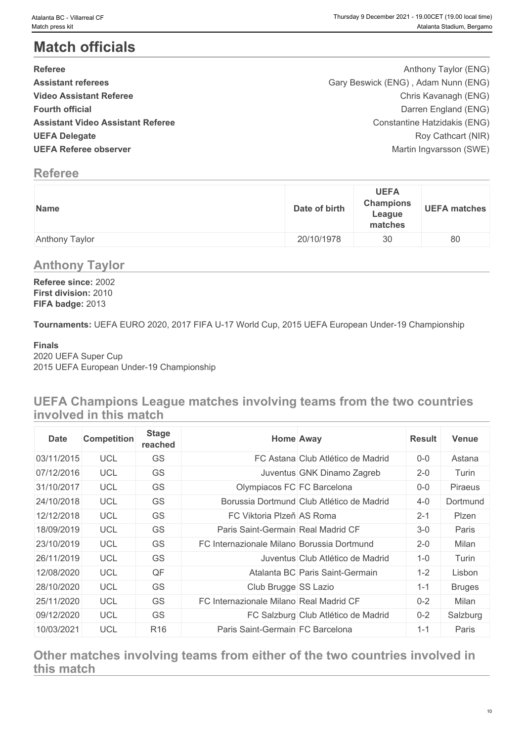# **Match officials**

| <b>Referee</b>                           | Anthony Taylor (ENG)                |  |
|------------------------------------------|-------------------------------------|--|
| <b>Assistant referees</b>                | Gary Beswick (ENG), Adam Nunn (ENG) |  |
| <b>Video Assistant Referee</b>           | Chris Kavanagh (ENG)                |  |
| <b>Fourth official</b>                   | Darren England (ENG)                |  |
| <b>Assistant Video Assistant Referee</b> | Constantine Hatzidakis (ENG)        |  |
| <b>UEFA Delegate</b>                     | Roy Cathcart (NIR)                  |  |
| <b>UEFA Referee observer</b>             | Martin Ingvarsson (SWE)             |  |
|                                          |                                     |  |

# **Referee**

| Name           | Date of birth | <b>UEFA</b><br><b>Champions</b><br>League<br>matches | <b>UEFA matches</b> |
|----------------|---------------|------------------------------------------------------|---------------------|
| Anthony Taylor | 20/10/1978    | 30                                                   | 80                  |

# **Anthony Taylor**

**Referee since:** 2002 **First division:** 2010 **FIFA badge:** 2013

**Tournaments:** UEFA EURO 2020, 2017 FIFA U-17 World Cup, 2015 UEFA European Under-19 Championship

#### **Finals**

2020 UEFA Super Cup 2015 UEFA European Under-19 Championship

**UEFA Champions League matches involving teams from the two countries involved in this match**

| <b>Date</b> | <b>Competition</b> | <b>Stage</b><br>reached |                                            | <b>Home Away</b>                          | <b>Result</b> | Venue         |
|-------------|--------------------|-------------------------|--------------------------------------------|-------------------------------------------|---------------|---------------|
| 03/11/2015  | UCL                | GS                      |                                            | FC Astana Club Atlético de Madrid         | $0-0$         | Astana        |
| 07/12/2016  | <b>UCL</b>         | GS                      |                                            | Juventus GNK Dinamo Zagreb                | $2 - 0$       | Turin         |
| 31/10/2017  | <b>UCL</b>         | GS                      | Olympiacos FC FC Barcelona                 |                                           | $0-0$         | Piraeus       |
| 24/10/2018  | <b>UCL</b>         | GS                      |                                            | Borussia Dortmund Club Atlético de Madrid | $4 - 0$       | Dortmund      |
| 12/12/2018  | <b>UCL</b>         | GS                      | FC Viktoria Plzeň AS Roma                  |                                           | $2 - 1$       | Plzen         |
| 18/09/2019  | <b>UCL</b>         | GS                      | Paris Saint-Germain Real Madrid CF         |                                           | $3-0$         | Paris         |
| 23/10/2019  | <b>UCL</b>         | GS                      | FC Internazionale Milano Borussia Dortmund |                                           | $2 - 0$       | Milan         |
| 26/11/2019  | UCL                | GS                      |                                            | Juventus Club Atlético de Madrid          | $1 - 0$       | Turin         |
| 12/08/2020  | <b>UCL</b>         | QF                      |                                            | Atalanta BC Paris Saint-Germain           | $1 - 2$       | Lisbon        |
| 28/10/2020  | UCL                | GS                      | Club Brugge SS Lazio                       |                                           | $1 - 1$       | <b>Bruges</b> |
| 25/11/2020  | <b>UCL</b>         | GS                      | FC Internazionale Milano Real Madrid CF    |                                           | $0 - 2$       | Milan         |
| 09/12/2020  | UCL                | GS                      |                                            | FC Salzburg Club Atlético de Madrid       | $0 - 2$       | Salzburg      |
| 10/03/2021  | <b>UCL</b>         | R <sub>16</sub>         | Paris Saint-Germain FC Barcelona           |                                           | $1 - 1$       | Paris         |

**Other matches involving teams from either of the two countries involved in this match**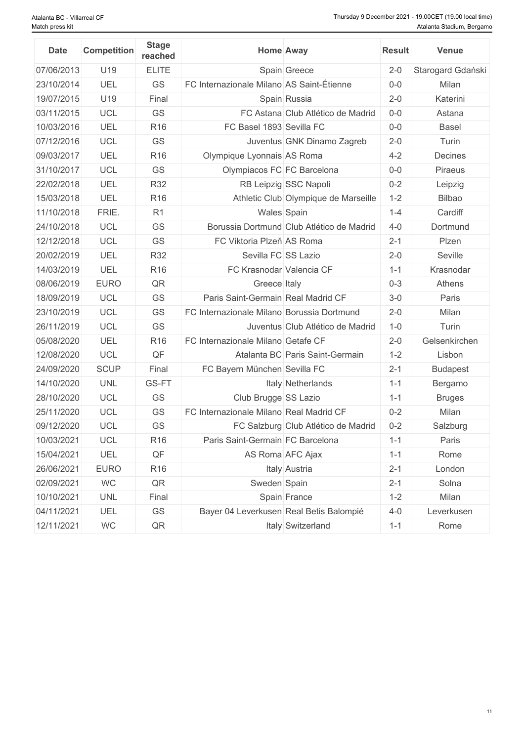| <b>Date</b> | <b>Competition</b> | <b>Stage</b><br>reached | <b>Home Away</b>                           |                                           | <b>Result</b> | <b>Venue</b>      |
|-------------|--------------------|-------------------------|--------------------------------------------|-------------------------------------------|---------------|-------------------|
| 07/06/2013  | U19                | <b>ELITE</b>            |                                            | Spain Greece                              | $2 - 0$       | Starogard Gdański |
| 23/10/2014  | UEL                | GS                      | FC Internazionale Milano AS Saint-Étienne  |                                           | $0-0$         | Milan             |
| 19/07/2015  | U19                | Final                   |                                            | Spain Russia                              | $2 - 0$       | Katerini          |
| 03/11/2015  | <b>UCL</b>         | GS                      |                                            | FC Astana Club Atlético de Madrid         | $0-0$         | Astana            |
| 10/03/2016  | UEL                | <b>R16</b>              | FC Basel 1893 Sevilla FC                   |                                           | $0-0$         | <b>Basel</b>      |
| 07/12/2016  | <b>UCL</b>         | GS                      |                                            | Juventus GNK Dinamo Zagreb                | $2 - 0$       | Turin             |
| 09/03/2017  | UEL                | R <sub>16</sub>         | Olympique Lyonnais AS Roma                 |                                           | $4 - 2$       | Decines           |
| 31/10/2017  | <b>UCL</b>         | GS                      | Olympiacos FC FC Barcelona                 |                                           | $0-0$         | Piraeus           |
| 22/02/2018  | UEL                | <b>R32</b>              |                                            | RB Leipzig SSC Napoli                     | $0 - 2$       | Leipzig           |
| 15/03/2018  | UEL                | R <sub>16</sub>         |                                            | Athletic Club Olympique de Marseille      | $1 - 2$       | <b>Bilbao</b>     |
| 11/10/2018  | FRIE.              | R <sub>1</sub>          | Wales Spain                                |                                           | $1 - 4$       | Cardiff           |
| 24/10/2018  | <b>UCL</b>         | GS                      |                                            | Borussia Dortmund Club Atlético de Madrid | $4 - 0$       | Dortmund          |
| 12/12/2018  | <b>UCL</b>         | GS                      | FC Viktoria Plzeň AS Roma                  |                                           | $2 - 1$       | Plzen             |
| 20/02/2019  | UEL                | <b>R32</b>              | Sevilla FC SS Lazio                        |                                           | $2 - 0$       | Seville           |
| 14/03/2019  | UEL                | <b>R16</b>              | FC Krasnodar Valencia CF                   |                                           | $1 - 1$       | Krasnodar         |
| 08/06/2019  | <b>EURO</b>        | QR                      | Greece Italy                               |                                           | $0 - 3$       | Athens            |
| 18/09/2019  | <b>UCL</b>         | GS                      | Paris Saint-Germain Real Madrid CF         |                                           | $3-0$         | Paris             |
| 23/10/2019  | <b>UCL</b>         | GS                      | FC Internazionale Milano Borussia Dortmund |                                           | $2 - 0$       | Milan             |
| 26/11/2019  | <b>UCL</b>         | GS                      |                                            | Juventus Club Atlético de Madrid          | $1 - 0$       | Turin             |
| 05/08/2020  | UEL                | R <sub>16</sub>         | FC Internazionale Milano Getafe CF         |                                           | $2 - 0$       | Gelsenkirchen     |
| 12/08/2020  | <b>UCL</b>         | QF                      |                                            | Atalanta BC Paris Saint-Germain           | $1 - 2$       | Lisbon            |
| 24/09/2020  | <b>SCUP</b>        | Final                   | FC Bayern München Sevilla FC               |                                           | $2 - 1$       | <b>Budapest</b>   |
| 14/10/2020  | <b>UNL</b>         | GS-FT                   |                                            | Italy Netherlands                         | $1 - 1$       | Bergamo           |
| 28/10/2020  | <b>UCL</b>         | GS                      | Club Brugge SS Lazio                       |                                           | $1 - 1$       | <b>Bruges</b>     |
| 25/11/2020  | <b>UCL</b>         | GS                      | FC Internazionale Milano Real Madrid CF    |                                           | $0 - 2$       | Milan             |
| 09/12/2020  | <b>UCL</b>         | GS                      |                                            | FC Salzburg Club Atlético de Madrid       | $0 - 2$       | Salzburg          |
| 10/03/2021  | UCL                | R <sub>16</sub>         | Paris Saint-Germain FC Barcelona           |                                           | $1 - 1$       | Paris             |
| 15/04/2021  | UEL                | $\mathsf{QF}$           |                                            | AS Roma AFC Ajax                          | $1 - 1$       | Rome              |
| 26/06/2021  | <b>EURO</b>        | R <sub>16</sub>         |                                            | Italy Austria                             | $2 - 1$       | London            |
| 02/09/2021  | <b>WC</b>          | QR                      | Sweden Spain                               |                                           | $2 - 1$       | Solna             |
| 10/10/2021  | <b>UNL</b>         | Final                   |                                            | Spain France                              | $1 - 2$       | Milan             |
| 04/11/2021  | UEL                | GS                      | Bayer 04 Leverkusen Real Betis Balompié    |                                           | $4 - 0$       | Leverkusen        |
| 12/11/2021  | WC                 | QR                      |                                            | Italy Switzerland                         | $1 - 1$       | Rome              |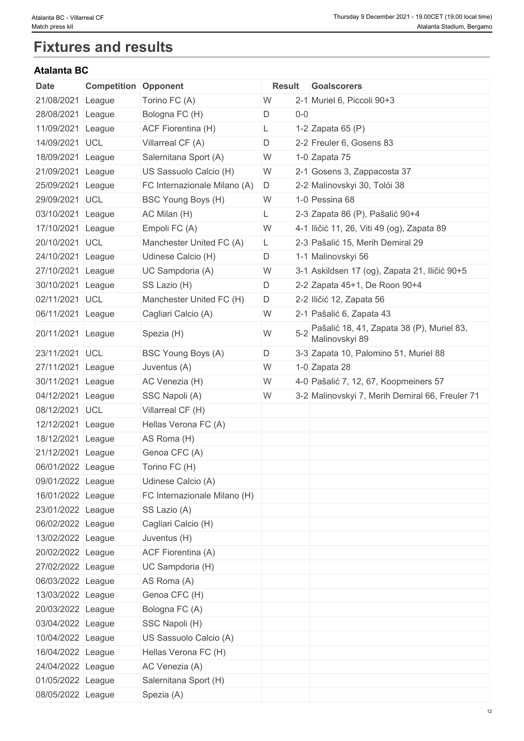# **Fixtures and results**

# **Atalanta BC**

| Date              | <b>Competition Opponent</b> |                              | <b>Result</b> |         | Goalscorers                                                 |
|-------------------|-----------------------------|------------------------------|---------------|---------|-------------------------------------------------------------|
| 21/08/2021        | League                      | Torino FC (A)                | W             |         | 2-1 Muriel 6, Piccoli 90+3                                  |
| 28/08/2021        | League                      | Bologna FC (H)               | D             | $0-0$   |                                                             |
| 11/09/2021        | League                      | <b>ACF Fiorentina (H)</b>    | L             |         | 1-2 Zapata 65 (P)                                           |
| 14/09/2021        | <b>UCL</b>                  | Villarreal CF (A)            | D             |         | 2-2 Freuler 6, Gosens 83                                    |
| 18/09/2021        | League                      | Salernitana Sport (A)        | W             |         | 1-0 Zapata 75                                               |
| 21/09/2021        | League                      | US Sassuolo Calcio (H)       | W             |         | 2-1 Gosens 3, Zappacosta 37                                 |
| 25/09/2021        | League                      | FC Internazionale Milano (A) | D             |         | 2-2 Malinovskyi 30, Tolói 38                                |
| 29/09/2021 UCL    |                             | BSC Young Boys (H)           | W             |         | 1-0 Pessina 68                                              |
| 03/10/2021        | League                      | AC Milan (H)                 | L             |         | 2-3 Zapata 86 (P), Pašalić 90+4                             |
| 17/10/2021        | League                      | Empoli FC (A)                | W             |         | 4-1 Iličić 11, 26, Viti 49 (og), Zapata 89                  |
| 20/10/2021 UCL    |                             | Manchester United FC (A)     | L             |         | 2-3 Pašalić 15, Merih Demiral 29                            |
| 24/10/2021        |                             |                              |               |         |                                                             |
|                   | League                      | Udinese Calcio (H)           | D             |         | 1-1 Malinovskyi 56                                          |
| 27/10/2021        | League                      | UC Sampdoria (A)             | W             |         | 3-1 Askildsen 17 (og), Zapata 21, Iličić 90+5               |
| 30/10/2021        | League                      | SS Lazio (H)                 | D             |         | 2-2 Zapata 45+1, De Roon 90+4                               |
| 02/11/2021        | <b>UCL</b>                  | Manchester United FC (H)     | D             |         | 2-2 Iličić 12, Zapata 56                                    |
| 06/11/2021 League |                             | Cagliari Calcio (A)          | W             |         | 2-1 Pašalić 6, Zapata 43                                    |
| 20/11/2021        | League                      | Spezia (H)                   | W             | $5 - 2$ | Pašalić 18, 41, Zapata 38 (P), Muriel 83,<br>Malinovskyi 89 |
| 23/11/2021 UCL    |                             | BSC Young Boys (A)           | D             |         | 3-3 Zapata 10, Palomino 51, Muriel 88                       |
| 27/11/2021        | League                      | Juventus (A)                 | W             |         | 1-0 Zapata 28                                               |
| 30/11/2021        | League                      | AC Venezia (H)               | W             |         | 4-0 Pašalić 7, 12, 67, Koopmeiners 57                       |
| 04/12/2021        | League                      | SSC Napoli (A)               | W             |         | 3-2 Malinovskyi 7, Merih Demiral 66, Freuler 71             |
| 08/12/2021        | <b>UCL</b>                  | Villarreal CF (H)            |               |         |                                                             |
| 12/12/2021        | League                      | Hellas Verona FC (A)         |               |         |                                                             |
| 18/12/2021        | League                      | AS Roma (H)                  |               |         |                                                             |
| 21/12/2021        | League                      | Genoa CFC (A)                |               |         |                                                             |
| 06/01/2022 League |                             | Torino FC (H)                |               |         |                                                             |
| 09/01/2022 League |                             | Udinese Calcio (A)           |               |         |                                                             |
| 16/01/2022 League |                             | FC Internazionale Milano (H) |               |         |                                                             |
| 23/01/2022 League |                             | SS Lazio (A)                 |               |         |                                                             |
| 06/02/2022 League |                             | Cagliari Calcio (H)          |               |         |                                                             |
| 13/02/2022 League |                             | Juventus (H)                 |               |         |                                                             |
| 20/02/2022 League |                             | ACF Fiorentina (A)           |               |         |                                                             |
|                   |                             | UC Sampdoria (H)             |               |         |                                                             |
| 27/02/2022 League |                             |                              |               |         |                                                             |
| 06/03/2022 League |                             | AS Roma (A)                  |               |         |                                                             |
| 13/03/2022 League |                             | Genoa CFC (H)                |               |         |                                                             |
| 20/03/2022 League |                             | Bologna FC (A)               |               |         |                                                             |
| 03/04/2022 League |                             | SSC Napoli (H)               |               |         |                                                             |
| 10/04/2022 League |                             | US Sassuolo Calcio (A)       |               |         |                                                             |
| 16/04/2022 League |                             | Hellas Verona FC (H)         |               |         |                                                             |
| 24/04/2022 League |                             | AC Venezia (A)               |               |         |                                                             |
| 01/05/2022 League |                             | Salernitana Sport (H)        |               |         |                                                             |
| 08/05/2022 League |                             | Spezia (A)                   |               |         |                                                             |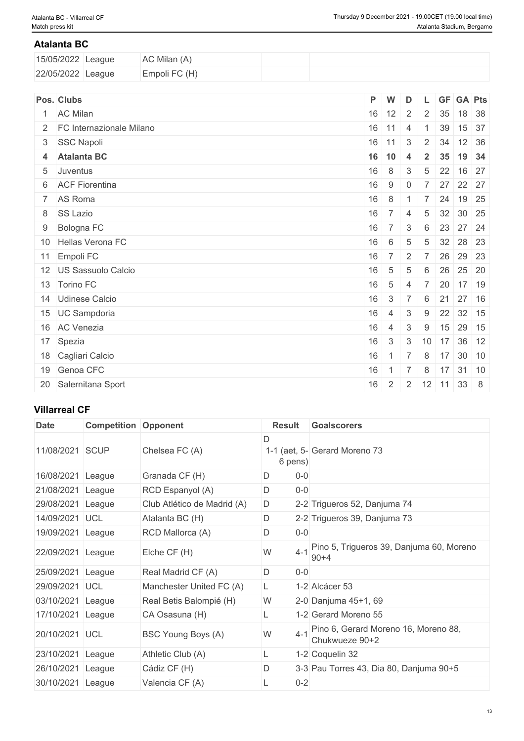#### **Atalanta BC**

| 15/05/2022 League | AC Milan (A)  |  |
|-------------------|---------------|--|
| 22/05/2022 League | Empoli FC (H) |  |

| Pos. Clubs                   | P W       |                  | D              |                 |      | L GF GA Pts                |       |
|------------------------------|-----------|------------------|----------------|-----------------|------|----------------------------|-------|
| 1 AC Milan                   | $16$ 12 2 |                  |                | 2 <sup>1</sup>  | 35   |                            | 18 38 |
| 2   FC Internazionale Milano | $16$ 11 4 |                  |                |                 | 39   |                            | 15 37 |
| 3 SSC Napoli                 | $16$ 11   |                  | 3              |                 | 2 34 | 12 36                      |       |
| 4 Atalanta BC                | $16$ 10   |                  | $\overline{4}$ | $\overline{2}$  |      | 35 19 34                   |       |
| 5 Juventus                   | 16        | 8                | 3              | $5\overline{)}$ |      | 22 16 27                   |       |
| 6 ACF Fiorentina             | 16        | 9                | $\overline{0}$ | $\overline{7}$  |      | 27 22 27                   |       |
| 7 AS Roma                    | 16        | 8                |                |                 | 24   |                            | 19 25 |
| 8 SS Lazio                   | 16        | $^+$ 7 $^+$      | $\overline{4}$ | $5\overline{)}$ |      | 32 30 25                   |       |
| 9 Bologna FC                 | 16        | $\overline{7}$   | 3              | 6               |      | 23 27 24                   |       |
| 10 Hellas Verona FC          | 16        | 6                | 5              | $5\overline{)}$ |      | 32 28 23                   |       |
| 11 Empoli FC                 | 16        | $\overline{7}$   | $\overline{2}$ | $\overline{7}$  |      | 26 29 23                   |       |
| 12 US Sassuolo Calcio        | 16        | 5                | $\overline{5}$ | 6               |      | 26 25 20                   |       |
| 13 Torino FC                 | 16        | $5\overline{)}$  | $\overline{4}$ | $\overline{7}$  |      | 20 17 19                   |       |
| 14 Udinese Calcio            | 16        | $3 \mid 7$       |                | 6               | 21   | 27 16                      |       |
| 15 UC Sampdoria              | 16        | $\sim$ 4         | $\mathbf{3}$   | 9               |      | 22 32 15                   |       |
| 16 AC Venezia                | 16        | $\overline{4}$   | 3              | 9               | 15   | $29$ 15                    |       |
| 17 Spezia                    | 16        | $\mathcal{S}$    | 3 <sup>7</sup> |                 |      | $10$ 17 36 12              |       |
| 18 Cagliari Calcio           | 16        | $1 \overline{7}$ |                | 8               |      | 17 30 10                   |       |
| 19 Genoa CFC                 | 16        | $1 \overline{7}$ |                | 8 <sub>1</sub>  |      | $17$ 31 10                 |       |
| 20 Salernitana Sport         | 16        |                  |                |                 |      | $2$   2   12   11   33   8 |       |

### **Villarreal CF**

| <b>Date</b>       | <b>Competition Opponent</b> |                             | <b>Result</b> | <b>Goalscorers</b>                                     |
|-------------------|-----------------------------|-----------------------------|---------------|--------------------------------------------------------|
| 11/08/2021        | <b>SCUP</b>                 | Chelsea FC (A)              | D<br>6 pens)  | 1-1 (aet, 5- Gerard Moreno 73                          |
| 16/08/2021        | League                      | Granada CF (H)              | D<br>$0 - 0$  |                                                        |
| 21/08/2021 League |                             | RCD Espanyol (A)            | D<br>$0-0$    |                                                        |
| 29/08/2021 League |                             | Club Atlético de Madrid (A) | D             | 2-2 Trigueros 52, Danjuma 74                           |
| 14/09/2021 UCL    |                             | Atalanta BC (H)             | D             | 2-2 Trigueros 39, Danjuma 73                           |
| 19/09/2021        | League                      | RCD Mallorca (A)            | D<br>$0-0$    |                                                        |
| 22/09/2021 League |                             | Elche CF (H)                | W<br>$4 - 1$  | Pino 5, Trigueros 39, Danjuma 60, Moreno<br>$90 + 4$   |
| 25/09/2021 League |                             | Real Madrid CF (A)          | D<br>$0-0$    |                                                        |
| 29/09/2021 UCL    |                             | Manchester United FC (A)    | L.            | 1-2 Alcácer 53                                         |
| 03/10/2021        | League                      | Real Betis Balompié (H)     | W             | 2-0 Danjuma 45+1, 69                                   |
| 17/10/2021        | League                      | CA Osasuna (H)              |               | 1-2 Gerard Moreno 55                                   |
| 20/10/2021 UCL    |                             | BSC Young Boys (A)          | W<br>$4 - 1$  | Pino 6, Gerard Moreno 16, Moreno 88,<br>Chukwueze 90+2 |
| 23/10/2021        | League                      | Athletic Club (A)           | L             | 1-2 Coquelin 32                                        |
| 26/10/2021        | League                      | Cádiz CF (H)                | D             | 3-3 Pau Torres 43, Dia 80, Danjuma 90+5                |
| 30/10/2021        | League                      | Valencia CF (A)             | $0 - 2$<br>L  |                                                        |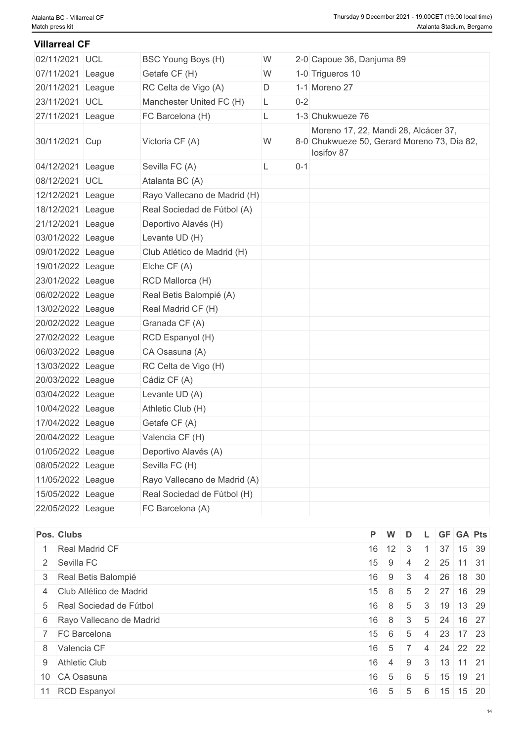#### **Villarreal CF**

| BSC Young Boys (H)           | W  |                                             | 2-0 Capoue 36, Danjuma 89                          |
|------------------------------|----|---------------------------------------------|----------------------------------------------------|
| Getafe CF (H)                | W  | 1-0 Trigueros 10                            |                                                    |
| RC Celta de Vigo (A)         | D  | 1-1 Moreno 27                               |                                                    |
| Manchester United FC (H)     | L. | $0 - 2$                                     |                                                    |
| FC Barcelona (H)             | L  | 1-3 Chukwueze 76                            |                                                    |
| Victoria CF (A)              | W  | 8-0 Chukwueze 50, Gerard Moreno 73, Dia 82, | Moreno 17, 22, Mandi 28, Alcácer 37,<br>losifov 87 |
| Sevilla FC (A)               | L  | $0 - 1$                                     |                                                    |
| Atalanta BC (A)              |    |                                             |                                                    |
| Rayo Vallecano de Madrid (H) |    |                                             |                                                    |
| Real Sociedad de Fútbol (A)  |    |                                             |                                                    |
| Deportivo Alavés (H)         |    |                                             |                                                    |
| Levante UD (H)               |    |                                             |                                                    |
| Club Atlético de Madrid (H)  |    |                                             |                                                    |
| Elche CF (A)                 |    |                                             |                                                    |
| RCD Mallorca (H)             |    |                                             |                                                    |
| Real Betis Balompié (A)      |    |                                             |                                                    |
| Real Madrid CF (H)           |    |                                             |                                                    |
| Granada CF (A)               |    |                                             |                                                    |
| RCD Espanyol (H)             |    |                                             |                                                    |
| CA Osasuna (A)               |    |                                             |                                                    |
| RC Celta de Vigo (H)         |    |                                             |                                                    |
| Cádiz CF (A)                 |    |                                             |                                                    |
| Levante UD (A)               |    |                                             |                                                    |
| Athletic Club (H)            |    |                                             |                                                    |
| Getafe CF (A)                |    |                                             |                                                    |
| Valencia CF (H)              |    |                                             |                                                    |
| Deportivo Alavés (A)         |    |                                             |                                                    |
| Sevilla FC (H)               |    |                                             |                                                    |
| Rayo Vallecano de Madrid (A) |    |                                             |                                                    |
| Real Sociedad de Fútbol (H)  |    |                                             |                                                    |
| FC Barcelona (A)             |    |                                             |                                                    |

| Pos. Clubs                 | P W          |                    | D              |  | L GF GA Pts                        |  |
|----------------------------|--------------|--------------------|----------------|--|------------------------------------|--|
| Real Madrid CF             |              | $16$ 12 3          |                |  | 37 15 39                           |  |
| 2 Sevilla FC               | $15 \quad 9$ |                    | -4             |  | $2 \mid 25 \mid 11 \mid 31$        |  |
| 3 Real Betis Balompié      |              | $16 \mid 9 \mid 3$ |                |  | 4 26 18 30                         |  |
| 4 Club Atlético de Madrid  |              | $15 \mid 8 \mid$   |                |  | $5 \mid 2 \mid 27 \mid 16 \mid 29$ |  |
| 5 Real Sociedad de Fútbol  | 16           | 8 <sup>1</sup>     | 5              |  | 3   19   13   29                   |  |
| 6 Rayo Vallecano de Madrid | 16           | 8 <sup>1</sup>     | 3 <sup>°</sup> |  | $5 \mid 24 \mid 16 \mid 27$        |  |
| 7 FC Barcelona             | 15           | 6                  | 5              |  | $4$   23   17   23                 |  |
| 8 Valencia CF              | 16           | $-5$ 7             |                |  | 4 24 22 22                         |  |
| 9 Athletic Club            | 16           | 4                  | 9              |  | $3 \mid 13 \mid 11 \mid 21$        |  |
| 10 CA Osasuna              | 16           | 5                  | 6              |  | $5 \mid 15 \mid 19 \mid 21$        |  |
| 11 RCD Espanyol            | 16           | 5                  | 5              |  | $6 \mid 15 \mid 15 \mid 20$        |  |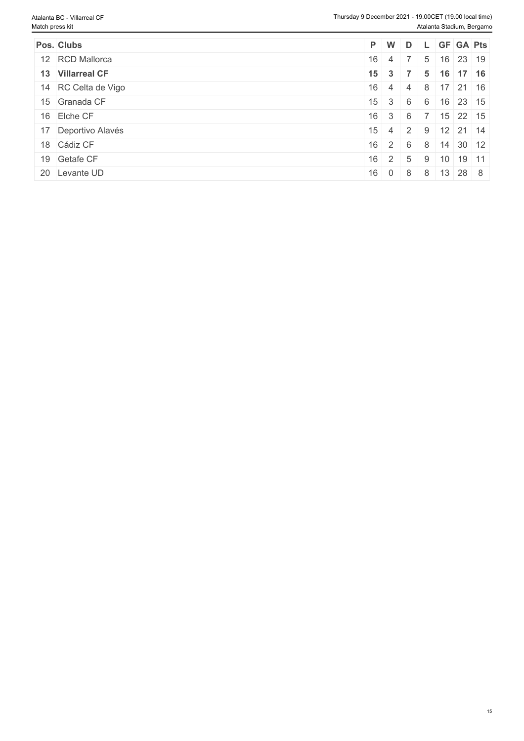| Pos. Clubs          |              | $P$ W                |                |   |    | D L GF GA Pts       |  |
|---------------------|--------------|----------------------|----------------|---|----|---------------------|--|
| 12 RCD Mallorca     | 16           | -4                   |                | 5 | 16 | 23 19               |  |
| 13 Villarreal CF    |              | $15 \quad 3 \quad 7$ |                | 5 |    | 16 17 16            |  |
| 14 RC Celta de Vigo | 16           | 4                    | $\overline{4}$ | 8 |    | $17$ 21 16          |  |
| 15 Granada CF       | 15           | 3                    | -6             | 6 | 16 | $23 \mid 15$        |  |
| 16 Elche CF         |              | $16 \mid 3 \mid 6$   |                |   |    | $15$ 22 15          |  |
| 17 Deportivo Alavés | $15 \quad 4$ |                      | $\vert$ 2      |   |    | $9$ 12 21 14        |  |
| 18 Cádiz CF         |              | $16 \quad 2 \quad 6$ |                | 8 | 14 | $30 \mid 12$        |  |
| 19 Getafe CF        |              | $16 \quad 2 \quad$   | -5             | 9 | 10 | 19 11               |  |
| 20 Levante UD       | 16           | $\overline{0}$       | - 8            | 8 |    | $13 \mid 28 \mid 8$ |  |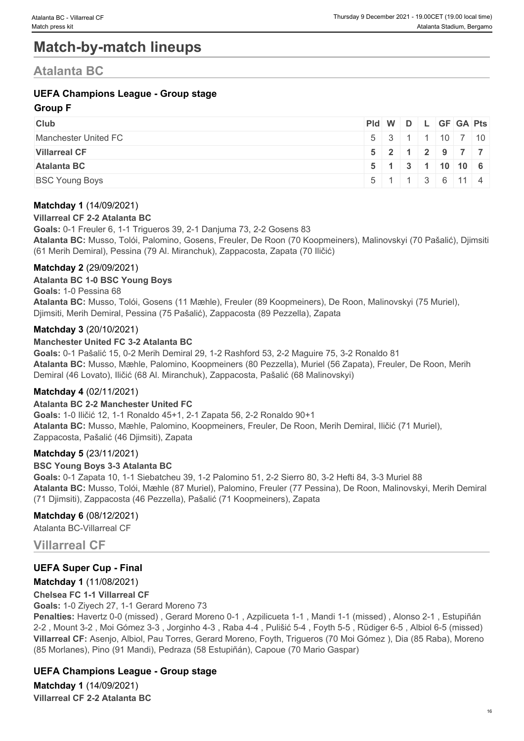# **Match-by-match lineups**

# **Atalanta BC**

### **UEFA Champions League - Group stage**

#### **Group F**

| <b>Club</b>           | Pid W D L GF GA Pts |                                                |  |  |                                                      |
|-----------------------|---------------------|------------------------------------------------|--|--|------------------------------------------------------|
| Manchester United FC  |                     |                                                |  |  | $5 \mid 3 \mid 1 \mid 1 \mid 10 \mid 7 \mid 10 \mid$ |
| <b>Villarreal CF</b>  |                     |                                                |  |  | $5$   2   1   2   9   7   7                          |
| <b>Atalanta BC</b>    |                     | $5$ 1 3 1 1 0 10 6                             |  |  |                                                      |
| <b>BSC Young Boys</b> |                     | $5 \mid 1 \mid 1 \mid 3 \mid 6 \mid 11 \mid 4$ |  |  |                                                      |

#### **Matchday 1** (14/09/2021)

#### **Villarreal CF 2-2 Atalanta BC**

**Goals:** 0-1 Freuler 6, 1-1 Trigueros 39, 2-1 Danjuma 73, 2-2 Gosens 83 **Atalanta BC:** Musso, Tolói, Palomino, Gosens, Freuler, De Roon (70 Koopmeiners), Malinovskyi (70 Pašalić), Djimsiti (61 Merih Demiral), Pessina (79 Al. Miranchuk), Zappacosta, Zapata (70 Iličić)

#### **Matchday 2** (29/09/2021)

#### **Atalanta BC 1-0 BSC Young Boys**

**Goals:** 1-0 Pessina 68

**Atalanta BC:** Musso, Tolói, Gosens (11 Mæhle), Freuler (89 Koopmeiners), De Roon, Malinovskyi (75 Muriel), Djimsiti, Merih Demiral, Pessina (75 Pašalić), Zappacosta (89 Pezzella), Zapata

#### **Matchday 3** (20/10/2021)

#### **Manchester United FC 3-2 Atalanta BC**

**Goals:** 0-1 Pašalić 15, 0-2 Merih Demiral 29, 1-2 Rashford 53, 2-2 Maguire 75, 3-2 Ronaldo 81 **Atalanta BC:** Musso, Mæhle, Palomino, Koopmeiners (80 Pezzella), Muriel (56 Zapata), Freuler, De Roon, Merih Demiral (46 Lovato), Iličić (68 Al. Miranchuk), Zappacosta, Pašalić (68 Malinovskyi)

#### **Matchday 4** (02/11/2021)

#### **Atalanta BC 2-2 Manchester United FC**

**Goals:** 1-0 Iličić 12, 1-1 Ronaldo 45+1, 2-1 Zapata 56, 2-2 Ronaldo 90+1 **Atalanta BC:** Musso, Mæhle, Palomino, Koopmeiners, Freuler, De Roon, Merih Demiral, Iličić (71 Muriel), Zappacosta, Pašalić (46 Djimsiti), Zapata

#### **Matchday 5** (23/11/2021)

#### **BSC Young Boys 3-3 Atalanta BC**

**Goals:** 0-1 Zapata 10, 1-1 Siebatcheu 39, 1-2 Palomino 51, 2-2 Sierro 80, 3-2 Hefti 84, 3-3 Muriel 88 **Atalanta BC:** Musso, Tolói, Mæhle (87 Muriel), Palomino, Freuler (77 Pessina), De Roon, Malinovskyi, Merih Demiral (71 Djimsiti), Zappacosta (46 Pezzella), Pašalić (71 Koopmeiners), Zapata

#### **Matchday 6** (08/12/2021)

Atalanta BC-Villarreal CF

### **Villarreal CF**

#### **UEFA Super Cup - Final**

#### **Matchday 1** (11/08/2021)

#### **Chelsea FC 1-1 Villarreal CF**

**Goals:** 1-0 Ziyech 27, 1-1 Gerard Moreno 73

**Penalties:** Havertz 0-0 (missed) , Gerard Moreno 0-1 , Azpilicueta 1-1 , Mandi 1-1 (missed) , Alonso 2-1 , Estupiñán 2-2 , Mount 3-2 , Moi Gómez 3-3 , Jorginho 4-3 , Raba 4-4 , Pulišić 5-4 , Foyth 5-5 , Rüdiger 6-5 , Albiol 6-5 (missed) **Villarreal CF:** Asenjo, Albiol, Pau Torres, Gerard Moreno, Foyth, Trigueros (70 Moi Gómez ), Dia (85 Raba), Moreno (85 Morlanes), Pino (91 Mandi), Pedraza (58 Estupiñán), Capoue (70 Mario Gaspar)

### **UEFA Champions League - Group stage**

**Matchday 1** (14/09/2021) **Villarreal CF 2-2 Atalanta BC**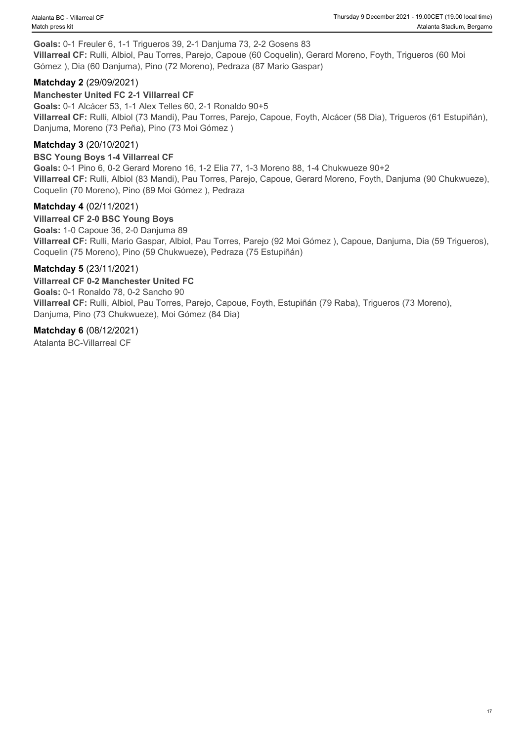**Goals:** 0-1 Freuler 6, 1-1 Trigueros 39, 2-1 Danjuma 73, 2-2 Gosens 83 **Villarreal CF:** Rulli, Albiol, Pau Torres, Parejo, Capoue (60 Coquelin), Gerard Moreno, Foyth, Trigueros (60 Moi Gómez ), Dia (60 Danjuma), Pino (72 Moreno), Pedraza (87 Mario Gaspar)

#### **Matchday 2** (29/09/2021)

#### **Manchester United FC 2-1 Villarreal CF**

**Goals:** 0-1 Alcácer 53, 1-1 Alex Telles 60, 2-1 Ronaldo 90+5 **Villarreal CF:** Rulli, Albiol (73 Mandi), Pau Torres, Parejo, Capoue, Foyth, Alcácer (58 Dia), Trigueros (61 Estupiñán), Danjuma, Moreno (73 Peña), Pino (73 Moi Gómez )

#### **Matchday 3** (20/10/2021)

#### **BSC Young Boys 1-4 Villarreal CF**

**Goals:** 0-1 Pino 6, 0-2 Gerard Moreno 16, 1-2 Elia 77, 1-3 Moreno 88, 1-4 Chukwueze 90+2 **Villarreal CF:** Rulli, Albiol (83 Mandi), Pau Torres, Parejo, Capoue, Gerard Moreno, Foyth, Danjuma (90 Chukwueze), Coquelin (70 Moreno), Pino (89 Moi Gómez ), Pedraza

#### **Matchday 4** (02/11/2021)

**Villarreal CF 2-0 BSC Young Boys Goals:** 1-0 Capoue 36, 2-0 Danjuma 89 **Villarreal CF:** Rulli, Mario Gaspar, Albiol, Pau Torres, Parejo (92 Moi Gómez ), Capoue, Danjuma, Dia (59 Trigueros), Coquelin (75 Moreno), Pino (59 Chukwueze), Pedraza (75 Estupiñán)

#### **Matchday 5** (23/11/2021)

#### **Villarreal CF 0-2 Manchester United FC**

**Goals:** 0-1 Ronaldo 78, 0-2 Sancho 90 **Villarreal CF:** Rulli, Albiol, Pau Torres, Parejo, Capoue, Foyth, Estupiñán (79 Raba), Trigueros (73 Moreno), Danjuma, Pino (73 Chukwueze), Moi Gómez (84 Dia)

#### **Matchday 6** (08/12/2021)

Atalanta BC-Villarreal CF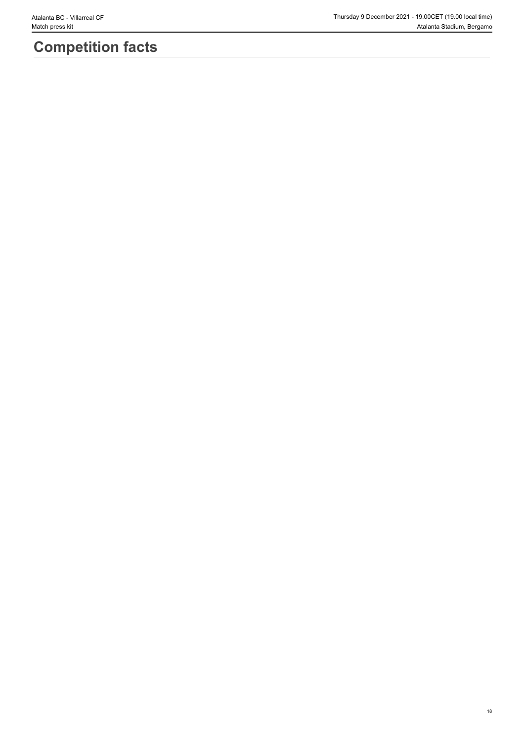# **Competition facts**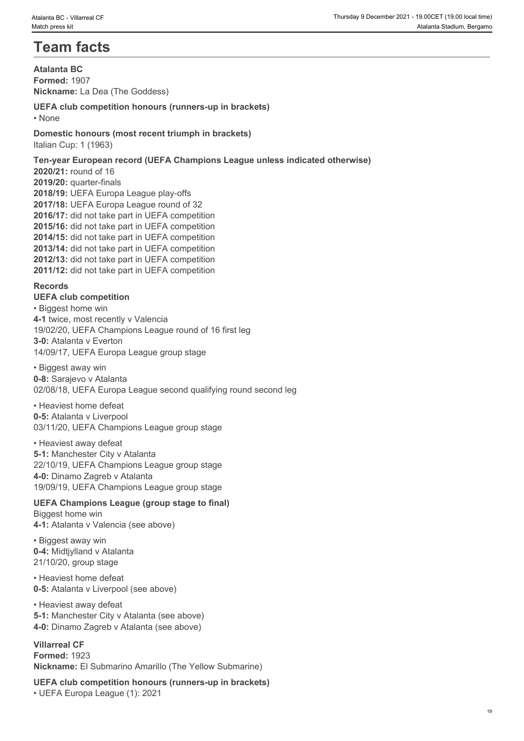# **Team facts**

**Atalanta BC Formed:** 1907 **Nickname:** La Dea (The Goddess)

#### **UEFA club competition honours (runners-up in brackets)** • None **blue** and **blue** and **blue** and **blue** and **blue** and **blue** and **blue** and **blue** and **blue** and **blue** and **blue** and **blue** and **blue** and **blue** and **blue** and **blue** and **blue** and **blue** and **blue** and **blue**

**Domestic honours (most recent triumph in brackets)** Italian Cup: 1 (1963)

**Ten-year European record (UEFA Champions League unless indicated otherwise) 2020/21:** round of 16 **2019/20:** quarter-finals **2018/19:** UEFA Europa League play-offs **2017/18:** UEFA Europa League round of 32 **2016/17:** did not take part in UEFA competition **2015/16:** did not take part in UEFA competition **2014/15:** did not take part in UEFA competition **2013/14:** did not take part in UEFA competition

**2012/13:** did not take part in UEFA competition

**2011/12:** did not take part in UEFA competition

#### **Records**

**UEFA club competition** • Biggest home win **4-1** twice, most recently v Valencia 19/02/20, UEFA Champions League round of 16 first leg **3-0:** Atalanta v Everton 14/09/17, UEFA Europa League group stage

• Biggest away win **0-8:** Sarajevo v Atalanta 02/08/18, UEFA Europa League second qualifying round second leg

• Heaviest home defeat **0-5:** Atalanta v Liverpool 03/11/20, UEFA Champions League group stage

• Heaviest away defeat **5-1:** Manchester City v Atalanta 22/10/19, UEFA Champions League group stage **4-0:** Dinamo Zagreb v Atalanta 19/09/19, UEFA Champions League group stage

**UEFA Champions League (group stage to final)** Biggest home win **4-1:** Atalanta v Valencia (see above)

• Biggest away win **0-4:** Midtjylland v Atalanta 21/10/20, group stage

• Heaviest home defeat **0-5:** Atalanta v Liverpool (see above)

• Heaviest away defeat **5-1:** Manchester City v Atalanta (see above) **4-0:** Dinamo Zagreb v Atalanta (see above)

**Villarreal CF Formed:** 1923 **Nickname:** El Submarino Amarillo (The Yellow Submarine)

**UEFA club competition honours (runners-up in brackets)** • UEFA Europa League (1): 2021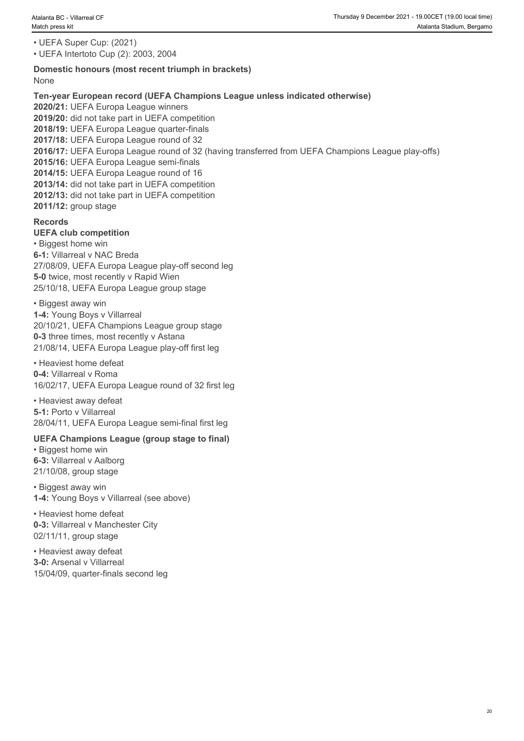• UEFA Super Cup: (2021)

• UEFA Intertoto Cup (2): 2003, 2004

#### **Domestic honours (most recent triumph in brackets)** None when the contract of the contract of the contract of the contract of the contract of the contract of the contract of the contract of the contract of the contract of the contract of the contract of the contract of the

**Ten-year European record (UEFA Champions League unless indicated otherwise) 2020/21:** UEFA Europa League winners **2019/20:** did not take part in UEFA competition **2018/19:** UEFA Europa League quarter-finals **2017/18:** UEFA Europa League round of 32 **2016/17:** UEFA Europa League round of 32 (having transferred from UEFA Champions League play-offs) **2015/16:** UEFA Europa League semi-finals **2014/15:** UEFA Europa League round of 16 **2013/14:** did not take part in UEFA competition **2012/13:** did not take part in UEFA competition **2011/12:** group stage

#### **Records**

#### **UEFA club competition**

• Biggest home win **6-1:** Villarreal v NAC Breda 27/08/09, UEFA Europa League play-off second leg **5-0** twice, most recently y Rapid Wien 25/10/18, UEFA Europa League group stage

• Biggest away win **1-4:** Young Boys v Villarreal 20/10/21, UEFA Champions League group stage **0-3** three times, most recently v Astana 21/08/14, UEFA Europa League play-off first leg

• Heaviest home defeat **0-4:** Villarreal v Roma 16/02/17, UEFA Europa League round of 32 first leg

• Heaviest away defeat **5-1:** Porto v Villarreal 28/04/11, UEFA Europa League semi-final first leg

#### **UEFA Champions League (group stage to final)**

• Biggest home win **6-3:** Villarreal v Aalborg 21/10/08, group stage

• Biggest away win **1-4:** Young Boys v Villarreal (see above)

• Heaviest home defeat **0-3:** Villarreal v Manchester City 02/11/11, group stage

• Heaviest away defeat **3-0:** Arsenal v Villarreal 15/04/09, quarter-finals second leg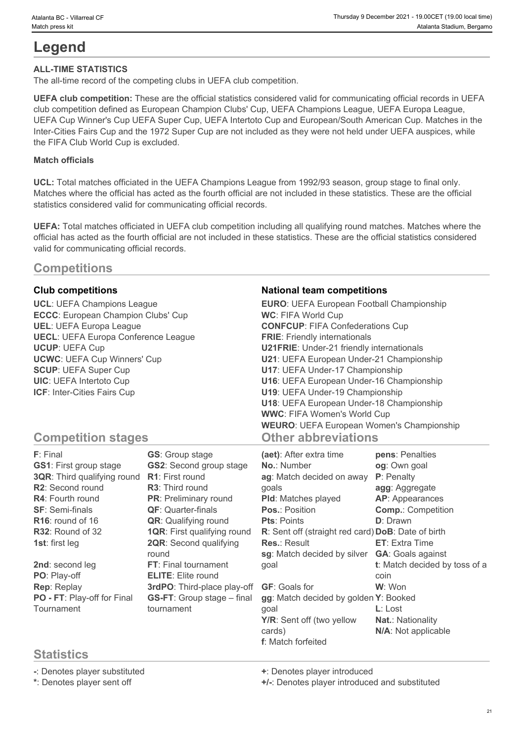# **Legend**

#### **ALL-TIME STATISTICS**

The all-time record of the competing clubs in UEFA club competition.

**UEFA club competition:** These are the official statistics considered valid for communicating official records in UEFA club competition defined as European Champion Clubs' Cup, UEFA Champions League, UEFA Europa League, UEFA Cup Winner's Cup UEFA Super Cup, UEFA Intertoto Cup and European/South American Cup. Matches in the Inter-Cities Fairs Cup and the 1972 Super Cup are not included as they were not held under UEFA auspices, while the FIFA Club World Cup is excluded.

#### **Match officials**

**UCL:** Total matches officiated in the UEFA Champions League from 1992/93 season, group stage to final only. Matches where the official has acted as the fourth official are not included in these statistics. These are the official statistics considered valid for communicating official records.

**UEFA:** Total matches officiated in UEFA club competition including all qualifying round matches. Matches where the official has acted as the fourth official are not included in these statistics. These are the official statistics considered valid for communicating official records.

# **Competitions**

**ECCC**: European Champion Clubs' Cup **UECL**: UEFA Europa Conference League

#### **Club competitions National team competitions**

**UCL**: UEFA Champions League **EURO**: UEFA European Football Championship **UEL**: UEFA Europa League **CONFCUP**: FIFA Confederations Cup **UCUP**: UEFA Cup **U21FRIE**: Under-21 friendly internationals **UCWC**: UEFA Cup Winners' Cup **U21**: UEFA European Under-21 Championship **SCUP**: UEFA Super Cup **U17**: UEFA Under-17 Championship **UIC**: UEFA Intertoto Cup **U16**: UEFA European Under-16 Championship **ICF**: Inter-Cities Fairs Cup **U19**: UEFA Under-19 Championship **WC**: FIFA World Cup **FRIE**: Friendly internationals **U18**: UEFA European Under-18 Championship **WWC**: FIFA Women's World Cup **WEURO**: UEFA European Women's Championship **Other abbreviations**

# **Competition stages**

| F: Final                      | <b>GS:</b> Group stage             | (aet): After extra time                            | pens: Penalties               |
|-------------------------------|------------------------------------|----------------------------------------------------|-------------------------------|
| <b>GS1: First group stage</b> | <b>GS2:</b> Second group stage     | <b>No.: Number</b>                                 | og: Own goal                  |
| 3QR: Third qualifying round   | <b>R1:</b> First round             | ag: Match decided on away                          | P: Penalty                    |
| R2: Second round              | <b>R3:</b> Third round             | qoals                                              | agg: Aggregate                |
| <b>R4: Fourth round</b>       | PR: Preliminary round              | <b>PId:</b> Matches played                         | <b>AP:</b> Appearances        |
| <b>SF: Semi-finals</b>        | <b>QF:</b> Quarter-finals          | <b>Pos.: Position</b>                              | <b>Comp.: Competition</b>     |
| R <sub>16</sub> : round of 16 | <b>QR:</b> Qualifying round        | <b>Pts: Points</b>                                 | <b>D</b> : Drawn              |
| R32: Round of 32              | <b>1QR:</b> First qualifying round | R: Sent off (straight red card) DoB: Date of birth |                               |
| 1st: first leg                | <b>2QR:</b> Second qualifying      | <b>Res.: Result</b>                                | <b>ET:</b> Extra Time         |
|                               | round                              | sg: Match decided by silver                        | <b>GA: Goals against</b>      |
| 2nd: second leg               | FT: Final tournament               | goal                                               | t: Match decided by toss of a |
| PO: Play-off                  | <b>ELITE:</b> Elite round          |                                                    | coin                          |
| Rep: Replay                   | 3rdPO: Third-place play-off        | <b>GF: Goals for</b>                               | W: Won                        |
| PO - FT: Play-off for Final   | <b>GS-FT:</b> Group stage - final  | gg: Match decided by golden Y: Booked              |                               |
| Tournament                    | tournament                         | qoal                                               | $L:$ Lost                     |
|                               |                                    | Y/R: Sent off (two yellow                          | <b>Nat.: Nationality</b>      |
|                               |                                    | cards)                                             | N/A: Not applicable           |
|                               |                                    | <b>f</b> : Match forfeited                         |                               |

# **Statistics**

**-**: Denotes player substituted **+**: Denotes player introduced

**\***: Denotes player sent off **+/-**: Denotes player introduced and substituted